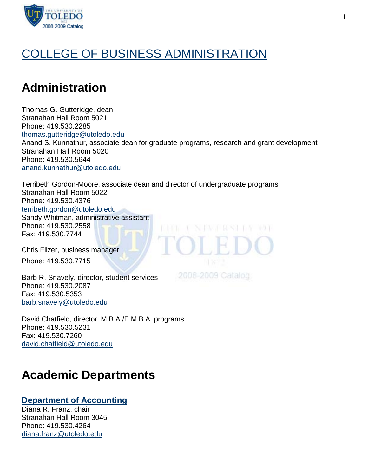

# [COLLEGE OF BUSINESS ADMINISTRATION](http://utoledo.edu/business/)

# **Administration**

Thomas G. Gutteridge, dean Stranahan Hall Room 5021 Phone: 419.530.2285 [thomas.gutteridge@utoledo.edu](mailto:thomas.gutteridge@utoledo.edu) Anand S. Kunnathur, associate dean for graduate programs, research and grant development Stranahan Hall Room 5020 Phone: 419.530.5644 [anand.kunnathur@utoledo.edu](mailto:anand.kunnathur@utoledo.edu)

Terribeth Gordon-Moore, associate dean and director of undergraduate programs Stranahan Hall Room 5022 Phone: 419.530.4376 [terribeth.gordon@utoledo.edu](mailto:terribeth.gordon@utoledo.edu) Sandy Whitman, administrative assistant Phone: 419.530.2558 BIRBE T. N. P.V.J. RASH B. P. LOUI Fax: 419.530.7744

Chris Filzer, business manager Phone: 419.530.7715

Barb R. Snavely, director, student services Phone: 419.530.2087 Fax: 419.530.5353 [barb.snavely@utoledo.edu](mailto:barb.snavely@utoledo.edu)

David Chatfield, director, M.B.A./E.M.B.A. programs Phone: 419.530.5231 Fax: 419.530.7260 [david.chatfield@utoledo.edu](mailto:david.chatfield@utoledo.edu)

# **Academic Departments**

## **[Department of Accounting](http://utoledo.edu/business/ACCT/index.html)**

Diana R. Franz, chair Stranahan Hall Room 3045 Phone: 419.530.4264 [diana.franz@utoledo.edu](mailto:diana.franz@utoledo.edu)

2008-2009 Catalog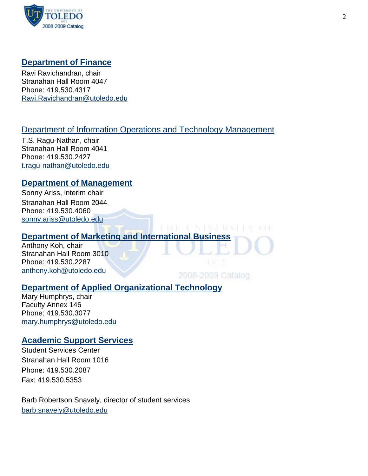

## **[Department of Finance](http://utoledo.edu/business/FIBE/FIBECCD/FIBEWelcome.asp)**

Ravi Ravichandran, chair Stranahan Hall Room 4047 Phone: 419.530.4317 [Ravi.Ravichandran@utoledo.edu](mailto:Ravi.Ravichandran@utoledo.edu)

## [Department of Information Operations and Technology Management](http://utoledo.edu/business/IOTM/index.html)

T.S. Ragu-Nathan, chair Stranahan Hall Room 4041 Phone: 419.530.2427 [t.ragu-nathan@utoledo.edu](mailto:t.ragu-nathan@utoledo.edu)

## **[Department of Management](http://utoledo.edu/business/MGMT/MGMTCCD/MGMT.asp)**

Sonny Ariss, interim chair Stranahan Hall Room 2044 Phone: 419.530.4060 [sonny.ariss@utoledo.edu](mailto:sonny.ariss@utoledo.edu)

## **[Department of Marketing and International Business](http://utoledo.edu/business/MIB/index.html)**

Anthony Koh, chair Stranahan Hall Room 3010 Phone: 419.530.2287 [anthony.koh@utoledo.edu](mailto:anthony.koh@utoledo.edu)

2008-2009 Catalog

1981 - F. N. D.V.S. 1983 - B. V

 $103.1$ 

## **[Department of Applied Organizational Technology](http://www.utoledo.edu/business/aot/)**

Mary Humphrys, chair Faculty Annex 146 Phone: 419.530.3077 [mary.humphrys@utoledo.edu](mailto:mary.humphrys@utoledo.edu)

## **[Academic Support Services](http://www.utoledo.edu/business/StuServ/index.html)**

Student Services Center Stranahan Hall Room 1016 Phone: 419.530.2087 Fax: 419.530.5353

Barb Robertson Snavely, director of student services [barb.snavely@utoledo.edu](mailto:barb.snavely@utoledo.edu)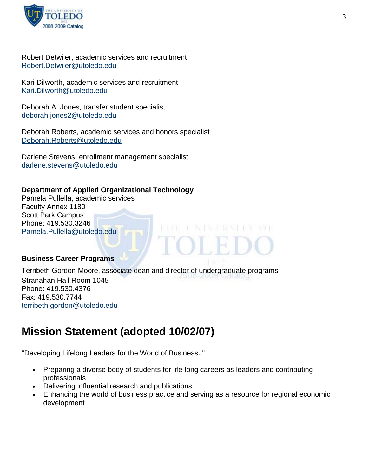

Robert Detwiler, academic services and recruitment [Robert.Detwiler@utoledo.edu](mailto:Robert.Detwiler@utoledo.edu)

Kari Dilworth, academic services and recruitment [Kari.Dilworth@utoledo.edu](mailto:Kari.Dilworth@utoledo.edu)

Deborah A. Jones, transfer student specialist [deborah.jones2@utoledo.edu](mailto:deborah.jones2@utoledo.edu)

Deborah Roberts, academic services and honors specialist [Deborah.Roberts@utoledo.edu](mailto:Deborah.Roberts@utoledo.edu)

Darlene Stevens, enrollment management specialist [darlene.stevens@utoledo.edu](mailto:darlene.stevens@utoledo.edu)

## **Department of Applied Organizational Technology**

Pamela Pullella, academic services Faculty Annex 1180 Scott Park Campus Phone: 419.530.3246 [Pamela.Pullella@utoledo.edu](mailto:Pamela.Pullella@utoledo.edu)

#### **Business Career Programs**

Terribeth Gordon-Moore, associate dean and director of undergraduate programs Stranahan Hall Room 1045 Phone: 419.530.4376 Fax: 419.530.7744 [terribeth.gordon@utoledo.edu](mailto:terribeth.gordon@utoledo.edu)

# **Mission Statement (adopted 10/02/07)**

"Developing Lifelong Leaders for the World of Business.."

- Preparing a diverse body of students for life-long careers as leaders and contributing professionals
- Delivering influential research and publications
- Enhancing the world of business practice and serving as a resource for regional economic development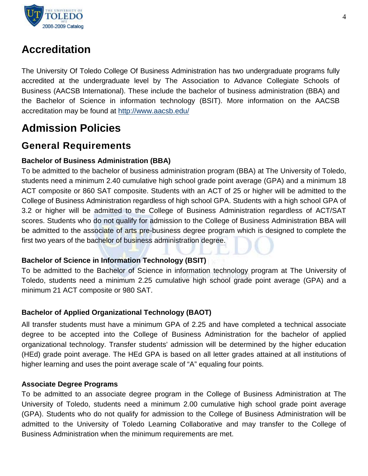

# **Accreditation**

The University Of Toledo College Of Business Administration has two undergraduate programs fully accredited at the undergraduate level by The Association to Advance Collegiate Schools of Business (AACSB International). These include the bachelor of business administration (BBA) and the Bachelor of Science in information technology (BSIT). More information on the AACSB accreditation may be found at<http://www.aacsb.edu/>

# **Admission Policies**

## **General Requirements**

## **Bachelor of Business Administration (BBA)**

To be admitted to the bachelor of business administration program (BBA) at The University of Toledo, students need a minimum 2.40 cumulative high school grade point average (GPA) and a minimum 18 ACT composite or 860 SAT composite. Students with an ACT of 25 or higher will be admitted to the College of Business Administration regardless of high school GPA. Students with a high school GPA of 3.2 or higher will be admitted to the College of Business Administration regardless of ACT/SAT scores. Students who do not qualify for admission to the College of Business Administration BBA will be admitted to the associate of arts pre-business degree program which is designed to complete the first two years of the bachelor of business administration degree.

## **Bachelor of Science in Information Technology (BSIT)**

To be admitted to the Bachelor of Science in information technology program at The University of Toledo, students need a minimum 2.25 cumulative high school grade point average (GPA) and a minimum 21 ACT composite or 980 SAT.

## **Bachelor of Applied Organizational Technology (BAOT)**

All transfer students must have a minimum GPA of 2.25 and have completed a technical associate degree to be accepted into the College of Business Administration for the bachelor of applied organizational technology. Transfer students' admission will be determined by the higher education (HEd) grade point average. The HEd GPA is based on all letter grades attained at all institutions of higher learning and uses the point average scale of "A" equaling four points.

## **Associate Degree Programs**

To be admitted to an associate degree program in the College of Business Administration at The University of Toledo, students need a minimum 2.00 cumulative high school grade point average (GPA). Students who do not qualify for admission to the College of Business Administration will be admitted to the University of Toledo Learning Collaborative and may transfer to the College of Business Administration when the minimum requirements are met.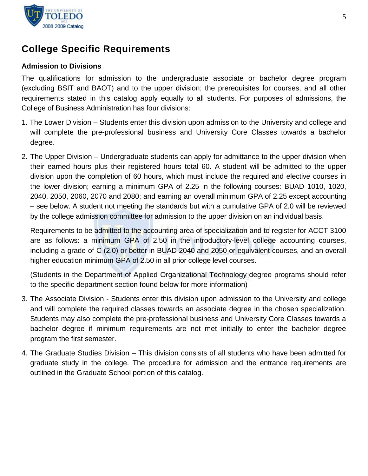

# **College Specific Requirements**

## **Admission to Divisions**

The qualifications for admission to the undergraduate associate or bachelor degree program (excluding BSIT and BAOT) and to the upper division; the prerequisites for courses, and all other requirements stated in this catalog apply equally to all students. For purposes of admissions, the College of Business Administration has four divisions:

- 1. The Lower Division Students enter this division upon admission to the University and college and will complete the pre-professional business and University Core Classes towards a bachelor degree.
- 2. The Upper Division Undergraduate students can apply for admittance to the upper division when their earned hours plus their registered hours total 60. A student will be admitted to the upper division upon the completion of 60 hours, which must include the required and elective courses in the lower division; earning a minimum GPA of 2.25 in the following courses: BUAD 1010, 1020, 2040, 2050, 2060, 2070 and 2080; and earning an overall minimum GPA of 2.25 except accounting – see below. A student not meeting the standards but with a cumulative GPA of 2.0 will be reviewed by the college admission committee for admission to the upper division on an individual basis.

Requirements to be admitted to the accounting area of specialization and to register for ACCT 3100 are as follows: a minimum GPA of 2.50 in the introductory-level college accounting courses, including a grade of C (2.0) or better in BUAD 2040 and 2050 or equivalent courses, and an overall higher education minimum GPA of 2.50 in all prior college level courses.

(Students in the Department of Applied Organizational Technology degree programs should refer to the specific department section found below for more information)

- 3. The Associate Division Students enter this division upon admission to the University and college and will complete the required classes towards an associate degree in the chosen specialization. Students may also complete the pre-professional business and University Core Classes towards a bachelor degree if minimum requirements are not met initially to enter the bachelor degree program the first semester.
- 4. The Graduate Studies Division This division consists of all students who have been admitted for graduate study in the college. The procedure for admission and the entrance requirements are outlined in the Graduate School portion of this catalog.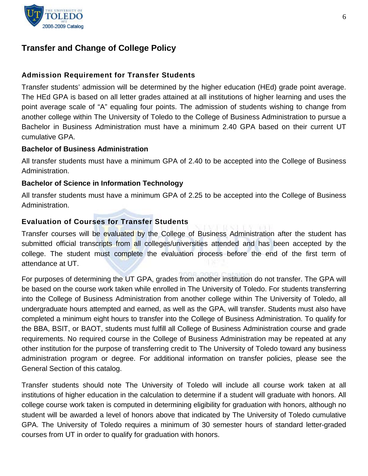

## **Transfer and Change of College Policy**

## **Admission Requirement for Transfer Students**

Transfer students' admission will be determined by the higher education (HEd) grade point average. The HEd GPA is based on all letter grades attained at all institutions of higher learning and uses the point average scale of "A" equaling four points. The admission of students wishing to change from another college within The University of Toledo to the College of Business Administration to pursue a Bachelor in Business Administration must have a minimum 2.40 GPA based on their current UT cumulative GPA.

#### **Bachelor of Business Administration**

All transfer students must have a minimum GPA of 2.40 to be accepted into the College of Business Administration.

## **Bachelor of Science in Information Technology**

All transfer students must have a minimum GPA of 2.25 to be accepted into the College of Business Administration.

## **Evaluation of Courses for Transfer Students**

Transfer courses will be evaluated by the College of Business Administration after the student has submitted official transcripts from all colleges/universities attended and has been accepted by the college. The student must complete the evaluation process before the end of the first term of attendance at UT.

For purposes of determining the UT GPA, grades from another institution do not transfer. The GPA will be based on the course work taken while enrolled in The University of Toledo. For students transferring into the College of Business Administration from another college within The University of Toledo, all undergraduate hours attempted and earned, as well as the GPA, will transfer. Students must also have completed a minimum eight hours to transfer into the College of Business Administration. To qualify for the BBA, BSIT, or BAOT, students must fulfill all College of Business Administration course and grade requirements. No required course in the College of Business Administration may be repeated at any other institution for the purpose of transferring credit to The University of Toledo toward any business administration program or degree. For additional information on transfer policies, please see the General Section of this catalog.

Transfer students should note The University of Toledo will include all course work taken at all institutions of higher education in the calculation to determine if a student will graduate with honors. All college course work taken is computed in determining eligibility for graduation with honors, although no student will be awarded a level of honors above that indicated by The University of Toledo cumulative GPA. The University of Toledo requires a minimum of 30 semester hours of standard letter-graded courses from UT in order to qualify for graduation with honors.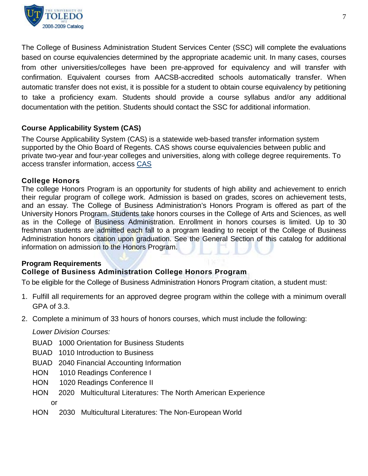

The College of Business Administration Student Services Center (SSC) will complete the evaluations based on course equivalencies determined by the appropriate academic unit. In many cases, courses from other universities/colleges have been pre-approved for equivalency and will transfer with confirmation. Equivalent courses from AACSB-accredited schools automatically transfer. When automatic transfer does not exist, it is possible for a student to obtain course equivalency by petitioning to take a proficiency exam. Students should provide a course syllabus and/or any additional documentation with the petition. Students should contact the SSC for additional information.

## **Course Applicability System (CAS)**

The Course Applicability System (CAS) is a statewide web-based transfer information system supported by the Ohio Board of Regents. CAS shows course equivalencies between public and private two-year and four-year colleges and universities, along with college degree requirements. To access transfer information, access [CAS](https://oh.transfer.org/cas/)

#### **College Honors**

The college Honors Program is an opportunity for students of high ability and achievement to enrich their regular program of college work. Admission is based on grades, scores on achievement tests, and an essay. The College of Business Administration's Honors Program is offered as part of the University Honors Program. Students take honors courses in the College of Arts and Sciences, as well as in the College of Business Administration. Enrollment in honors courses is limited. Up to 30 freshman students are admitted each fall to a program leading to receipt of the College of Business Administration honors citation upon graduation. See the General Section of this catalog for additional information on admission to the Honors Program.

#### **Program Requirements**

## **College of Business Administration College Honors Program**

To be eligible for the College of Business Administration Honors Program citation, a student must:

- 1. Fulfill all requirements for an approved degree program within the college with a minimum overall GPA of 3.3.
- 2. Complete a minimum of 33 hours of honors courses, which must include the following:

#### *Lower Division Courses:*

- BUAD 1000 Orientation for Business Students
- BUAD 1010 Introduction to Business
- BUAD 2040 Financial Accounting Information
- HON 1010 Readings Conference I
- HON 1020 Readings Conference II
- HON 2020 Multicultural Literatures: The North American Experience

or

HON 2030 Multicultural Literatures: The Non-European World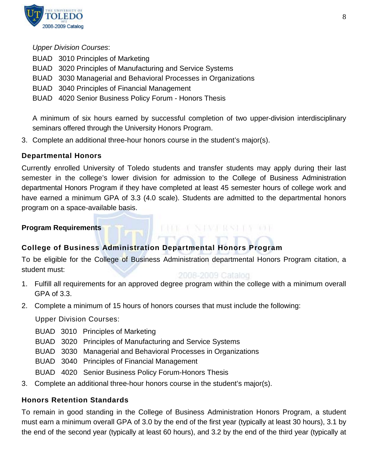

*Upper Division Courses*:

- BUAD 3010 Principles of Marketing
- BUAD 3020 Principles of Manufacturing and Service Systems
- BUAD 3030 Managerial and Behavioral Processes in Organizations
- BUAD 3040 Principles of Financial Management
- BUAD 4020 Senior Business Policy Forum Honors Thesis

A minimum of six hours earned by successful completion of two upper-division interdisciplinary seminars offered through the University Honors Program.

3. Complete an additional three-hour honors course in the student's major(s).

## **Departmental Honors**

Currently enrolled University of Toledo students and transfer students may apply during their last semester in the college's lower division for admission to the College of Business Administration departmental Honors Program if they have completed at least 45 semester hours of college work and have earned a minimum GPA of 3.3 (4.0 scale). Students are admitted to the departmental honors program on a space-available basis.

## **Program Requirements**

## **College of Business Administration Departmental Honors Program**

To be eligible for the College of Business Administration departmental Honors Program citation, a student must:

## 2006-2009 Catalog

INE I NIWERSHA IN

- 1. Fulfill all requirements for an approved degree program within the college with a minimum overall GPA of 3.3.
- 2. Complete a minimum of 15 hours of honors courses that must include the following:

Upper Division Courses:

- BUAD 3010 Principles of Marketing
- BUAD 3020 Principles of Manufacturing and Service Systems
- BUAD 3030 Managerial and Behavioral Processes in Organizations
- BUAD 3040 Principles of Financial Management
- BUAD 4020 Senior Business Policy Forum-Honors Thesis
- 3. Complete an additional three-hour honors course in the student's major(s).

## **Honors Retention Standards**

To remain in good standing in the College of Business Administration Honors Program, a student must earn a minimum overall GPA of 3.0 by the end of the first year (typically at least 30 hours), 3.1 by the end of the second year (typically at least 60 hours), and 3.2 by the end of the third year (typically at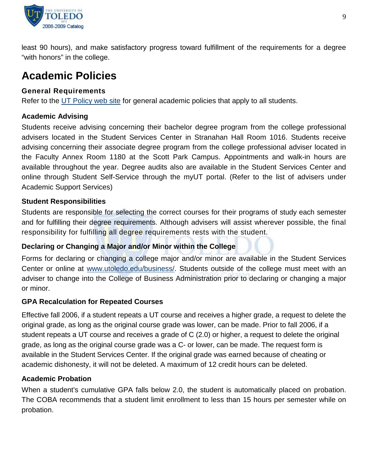

least 90 hours), and make satisfactory progress toward fulfillment of the requirements for a degree "with honors" in the college.

# **Academic Policies**

## **General Requirements**

Refer to the [UT Policy web site](http://utoledo.edu/policies/) for general academic policies that apply to all students.

## **Academic Advising**

Students receive advising concerning their bachelor degree program from the college professional advisers located in the Student Services Center in Stranahan Hall Room 1016. Students receive advising concerning their associate degree program from the college professional adviser located in the Faculty Annex Room 1180 at the Scott Park Campus. Appointments and walk-in hours are available throughout the year. Degree audits also are available in the Student Services Center and online through Student Self-Service through the myUT portal. (Refer to the list of advisers under Academic Support Services)

## **Student Responsibilities**

Students are responsible for selecting the correct courses for their programs of study each semester and for fulfilling their degree requirements. Although advisers will assist wherever possible, the final responsibility for fulfilling all degree requirements rests with the student.

## **Declaring or Changing a Major and/or Minor within the College**

Forms for declaring or changing a college major and/or minor are available in the Student Services Center or online at [www.utoledo.edu/business/.](http://www.utoledo.edu/business/) Students outside of the college must meet with an adviser to change into the College of Business Administration prior to declaring or changing a major or minor.

## **GPA Recalculation for Repeated Courses**

Effective fall 2006, if a student repeats a UT course and receives a higher grade, a request to delete the original grade, as long as the original course grade was lower, can be made. Prior to fall 2006, if a student repeats a UT course and receives a grade of C (2.0) or higher, a request to delete the original grade, as long as the original course grade was a C- or lower, can be made. The request form is available in the Student Services Center. If the original grade was earned because of cheating or academic dishonesty, it will not be deleted. A maximum of 12 credit hours can be deleted.

## **Academic Probation**

When a student's cumulative GPA falls below 2.0, the student is automatically placed on probation. The COBA recommends that a student limit enrollment to less than 15 hours per semester while on probation.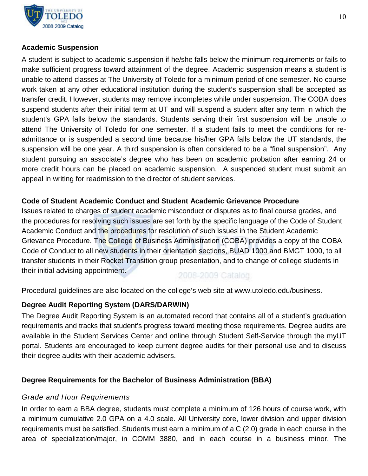

## **Academic Suspension**

A student is subject to academic suspension if he/she falls below the minimum requirements or fails to make sufficient progress toward attainment of the degree. Academic suspension means a student is unable to attend classes at The University of Toledo for a minimum period of one semester. No course work taken at any other educational institution during the student's suspension shall be accepted as transfer credit. However, students may remove incompletes while under suspension. The COBA does suspend students after their initial term at UT and will suspend a student after any term in which the student's GPA falls below the standards. Students serving their first suspension will be unable to attend The University of Toledo for one semester. If a student fails to meet the conditions for readmittance or is suspended a second time because his/her GPA falls below the UT standards, the suspension will be one year. A third suspension is often considered to be a "final suspension". Any student pursuing an associate's degree who has been on academic probation after earning 24 or more credit hours can be placed on academic suspension. A suspended student must submit an appeal in writing for readmission to the director of student services.

## **Code of Student Academic Conduct and Student Academic Grievance Procedure**

Issues related to charges of student academic misconduct or disputes as to final course grades, and the procedures for resolving such issues are set forth by the specific language of the Code of Student Academic Conduct and the procedures for resolution of such issues in the Student Academic Grievance Procedure. The College of Business Administration (COBA) provides a copy of the COBA Code of Conduct to all new students in their orientation sections, BUAD 1000 and BMGT 1000, to all transfer students in their Rocket Transition group presentation, and to change of college students in their initial advising appointment.

2008-2009 Catalog

Procedural guidelines are also located on the college's web site at www.utoledo.edu/business.

## **Degree Audit Reporting System (DARS/DARWIN)**

The Degree Audit Reporting System is an automated record that contains all of a student's graduation requirements and tracks that student's progress toward meeting those requirements. Degree audits are available in the Student Services Center and online through Student Self-Service through the myUT portal. Students are encouraged to keep current degree audits for their personal use and to discuss their degree audits with their academic advisers.

## **Degree Requirements for the Bachelor of Business Administration (BBA)**

## *Grade and Hour Requirements*

In order to earn a BBA degree, students must complete a minimum of 126 hours of course work, with a minimum cumulative 2.0 GPA on a 4.0 scale. All University core, lower division and upper division requirements must be satisfied. Students must earn a minimum of a C (2.0) grade in each course in the area of specialization/major, in COMM 3880, and in each course in a business minor. The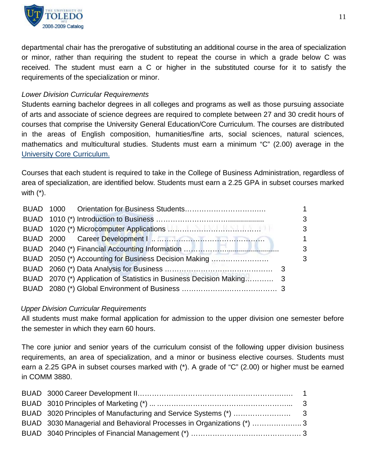

departmental chair has the prerogative of substituting an additional course in the area of specialization or minor, rather than requiring the student to repeat the course in which a grade below C was received. The student must earn a C or higher in the substituted course for it to satisfy the requirements of the specialization or minor.

## *Lower Division Curricular Requirements*

Students earning bachelor degrees in all colleges and programs as well as those pursuing associate of arts and associate of science degrees are required to complete between 27 and 30 credit hours of courses that comprise the University General Education/Core Curriculum. The courses are distributed in the areas of English composition, humanities/fine arts, social sciences, natural sciences, mathematics and multicultural studies. Students must earn a minimum "C" (2.00) average in the [University Core Curriculum.](http://utoledo.edu/catalog/pdf/catalog_general_education_2008.doc)

Courses that each student is required to take in the College of Business Administration, regardless of area of specialization, are identified below. Students must earn a 2.25 GPA in subset courses marked with (\*).

|  |                                                       | 1           |
|--|-------------------------------------------------------|-------------|
|  |                                                       | 3           |
|  |                                                       | 3           |
|  |                                                       | $\mathbf 1$ |
|  |                                                       | 3           |
|  | BUAD 2050 (*) Accounting for Business Decision Making | 3           |
|  |                                                       |             |
|  |                                                       |             |
|  |                                                       |             |

## *Upper Division Curricular Requirements*

All students must make formal application for admission to the upper division one semester before the semester in which they earn 60 hours.

The core junior and senior years of the curriculum consist of the following upper division business requirements, an area of specialization, and a minor or business elective courses. Students must earn a 2.25 GPA in subset courses marked with (\*). A grade of "C" (2.00) or higher must be earned in COMM 3880.

| BUAD 3030 Managerial and Behavioral Processes in Organizations (*) 3 |  |
|----------------------------------------------------------------------|--|
|                                                                      |  |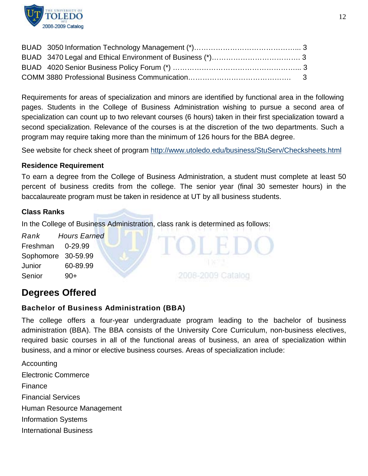

Requirements for areas of specialization and minors are identified by functional area in the following pages. Students in the College of Business Administration wishing to pursue a second area of specialization can count up to two relevant courses (6 hours) taken in their first specialization toward a second specialization. Relevance of the courses is at the discretion of the two departments. Such a program may require taking more than the minimum of 126 hours for the BBA degree.

See website for check sheet of program<http://www.utoledo.edu/business/StuServ/Checksheets.html>

## **Residence Requirement**

To earn a degree from the College of Business Administration, a student must complete at least 50 percent of business credits from the college. The senior year (final 30 semester hours) in the baccalaureate program must be taken in residence at UT by all business students.

#### **Class Ranks**

In the College of Business Administration, class rank is determined as follows:

*Rank Hours Earned* Freshman 0-29.99 Sophomore 30-59.99 Junior 60-89.99 Senior 90+

## **Degrees Offered**

## **Bachelor of Business Administration (BBA)**

The college offers a four-year undergraduate program leading to the bachelor of business administration (BBA). The BBA consists of the University Core Curriculum, non-business electives, required basic courses in all of the functional areas of business, an area of specialization within business, and a minor or elective business courses. Areas of specialization include:

2008-2009 Catalog

Accounting Electronic Commerce Finance Financial Services Human Resource Management Information Systems International Business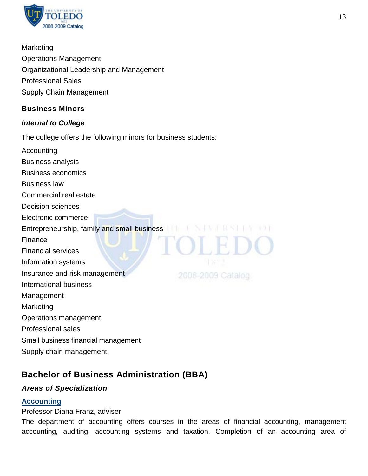

**Marketing** Operations Management Organizational Leadership and Management Professional Sales Supply Chain Management

## **Business Minors**

## *Internal to College*

The college offers the following minors for business students:

Accounting Business analysis Business economics Business law Commercial real estate Decision sciences Electronic commerce Entrepreneurship, family and small business **THE STAN HAS LINES IN A LINES** Finance Financial services Information systems Insurance and risk management 2008-2009 Catalog International business Management **Marketing** Operations management Professional sales Small business financial management Supply chain management

## **Bachelor of Business Administration (BBA)**

## *Areas of Specialization*

## **[Accounting](http://utoledo.edu/business/ACCT/index.html)**

## Professor Diana Franz, adviser

The department of accounting offers courses in the areas of financial accounting, management accounting, auditing, accounting systems and taxation. Completion of an accounting area of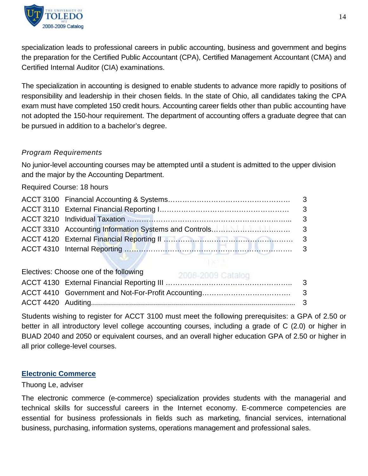

specialization leads to professional careers in public accounting, business and government and begins the preparation for the Certified Public Accountant (CPA), Certified Management Accountant (CMA) and Certified Internal Auditor (CIA) examinations.

The specialization in accounting is designed to enable students to advance more rapidly to positions of responsibility and leadership in their chosen fields. In the state of Ohio, all candidates taking the CPA exam must have completed 150 credit hours. Accounting career fields other than public accounting have not adopted the 150-hour requirement. The department of accounting offers a graduate degree that can be pursued in addition to a bachelor's degree.

## *Program Requirements*

No junior-level accounting courses may be attempted until a student is admitted to the upper division and the major by the Accounting Department.

Required Course: 18 hours

| Electives: Choose one of the following |  |
|----------------------------------------|--|
|                                        |  |
|                                        |  |
|                                        |  |

Students wishing to register for ACCT 3100 must meet the following prerequisites: a GPA of 2.50 or better in all introductory level college accounting courses, including a grade of C (2.0) or higher in BUAD 2040 and 2050 or equivalent courses, and an overall higher education GPA of 2.50 or higher in all prior college-level courses.

## **[Electronic Commerce](http://www.utoledo.edu/business/MIB/MIBPrograms.html)**

## Thuong Le, adviser

The electronic commerce (e-commerce) specialization provides students with the managerial and technical skills for successful careers in the Internet economy. E-commerce competencies are essential for business professionals in fields such as marketing, financial services, international business, purchasing, information systems, operations management and professional sales.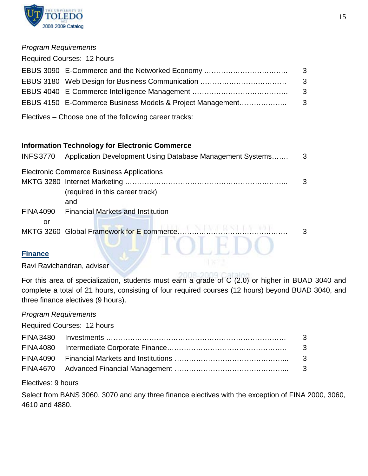

#### *Program Requirements*

| <b>Required Courses: 12 hours</b>                         |     |
|-----------------------------------------------------------|-----|
| EBUS 3090 E-Commerce and the Networked Economy            | - 3 |
|                                                           | - 3 |
|                                                           | - 3 |
| EBUS 4150 E-Commerce Business Models & Project Management | - 3 |
| Electives – Choose one of the following career tracks:    |     |

**Information Technology for Electronic Commerce** 

| <b>INFS3770</b>  | Application Development Using Database Management Systems | 3 |
|------------------|-----------------------------------------------------------|---|
|                  | <b>Electronic Commerce Business Applications</b>          | 3 |
|                  | (required in this career track)                           |   |
| <b>FINA 4090</b> | and<br><b>Financial Markets and Institution</b>           |   |
| or               |                                                           | 3 |
| <b>Finance</b>   |                                                           |   |

## **[Finance](http://utoledo.edu/business/FIBE/FIBECCD/FIBEWelcome.asp)**

Ravi Ravichandran, adviser

For this area of specialization, students must earn a grade of C (2.0) or higher in BUAD 3040 and complete a total of 21 hours, consisting of four required courses (12 hours) beyond BUAD 3040, and three finance electives (9 hours).

## *Program Requirements*

Required Courses: 12 hours

| - 3 |
|-----|
|     |
|     |
|     |
|     |

Electives: 9 hours

Select from BANS 3060, 3070 and any three finance electives with the exception of FINA 2000, 3060, 4610 and 4880.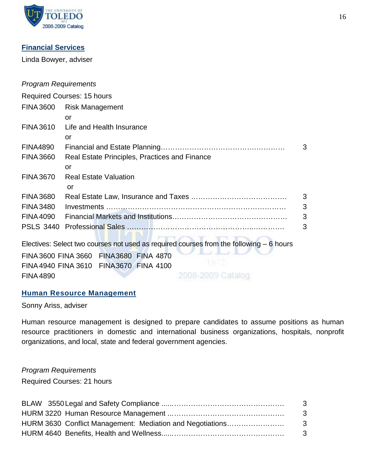

## **[Financial Services](http://utoledo.edu/business/FIBE/FIBEPSFinServSpec.html)**

Linda Bowyer, adviser

## *Program Requirements*

|                  | <b>Required Courses: 15 hours</b>                                                        |   |
|------------------|------------------------------------------------------------------------------------------|---|
|                  | FINA 3600 Risk Management                                                                |   |
|                  | or                                                                                       |   |
| <b>FINA 3610</b> | Life and Health Insurance                                                                |   |
|                  | or                                                                                       |   |
| <b>FINA4890</b>  |                                                                                          | 3 |
| <b>FINA 3660</b> | Real Estate Principles, Practices and Finance                                            |   |
|                  | or                                                                                       |   |
| <b>FINA 3670</b> | <b>Real Estate Valuation</b>                                                             |   |
|                  | or                                                                                       |   |
| <b>FINA 3680</b> |                                                                                          | 3 |
| <b>FINA 3480</b> |                                                                                          | 3 |
| <b>FINA 4090</b> |                                                                                          | 3 |
|                  |                                                                                          | 3 |
|                  |                                                                                          |   |
|                  | Electives: Select two courses not used as required courses from the following $-6$ hours |   |
|                  | FINA 3600 FINA 3660 FINA 3680 FINA 4870                                                  |   |

FINA3600 FINA 3660 FINA3680 FINA 4870 FINA4940 FINA 3610 FINA3670 FINA 4100 FINA4890 2008-2009 Catalog

## **[Human Resource Management](http://utoledo.edu/business/COBAProspectiveStudents/COBAPSDocs/Human_Resource_Management.pdf)**

Sonny Ariss, adviser

Human resource management is designed to prepare candidates to assume positions as human resource practitioners in domestic and international business organizations, hospitals, nonprofit organizations, and local, state and federal government agencies.

#### *Program Requirements*

Required Courses: 21 hours

|                                                           | - 3 |
|-----------------------------------------------------------|-----|
|                                                           | - 3 |
| HURM 3630 Conflict Management: Mediation and Negotiations | - 3 |
|                                                           | - 3 |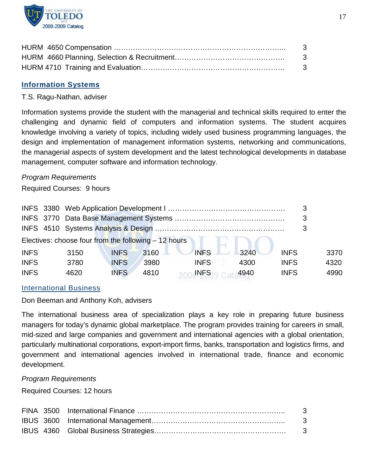

| - 3 |
|-----|
| - 3 |
| - 3 |

## **[Information Systems](http://utoledo.edu/business/COBAProspectiveStudents/COBAPSDocs/Information_Systems.pdf)**

#### T.S. Ragu-Nathan, adviser

Information systems provide the student with the managerial and technical skills required to enter the challenging and dynamic field of computers and information systems. The student acquires knowledge involving a variety of topics, including widely used business programming languages, the design and implementation of management information systems, networking and communications, the managerial aspects of system development and the latest technological developments in database management, computer software and information technology.

#### *Program Requirements*

Required Courses: 9 hours

|                                                       |  |      |             |      |             |      | 3           |      |  |
|-------------------------------------------------------|--|------|-------------|------|-------------|------|-------------|------|--|
| Electives: choose four from the following $-12$ hours |  |      |             |      |             |      |             |      |  |
| <b>INFS</b>                                           |  | 3150 | <b>INFS</b> | 3160 | <b>INFS</b> | 3240 | <b>INFS</b> | 3370 |  |
| <b>INFS</b>                                           |  | 3780 | <b>INFS</b> | 3980 | <b>INFS</b> | 4300 | <b>INFS</b> | 4320 |  |
| <b>INFS</b>                                           |  | 4620 | <b>INFS</b> | 4810 | <b>INFS</b> | 4940 | <b>INFS</b> | 4990 |  |

#### [International Business](http://utoledo.edu/business/COBAProspectiveStudents/COBAPSDocs/International_Business.pdf)

Don Beeman and Anthony Koh, advisers

The international business area of specialization plays a key role in preparing future business managers for today's dynamic global marketplace. The program provides training for careers in small, mid-sized and large companies and government and international agencies with a global orientation, particularly multinational corporations, export-import firms, banks, transportation and logistics firms, and government and international agencies involved in international trade, finance and economic development.

#### *Program Requirements*

Required Courses: 12 hours

|  | - 3 |
|--|-----|
|  | - 3 |
|  | - 3 |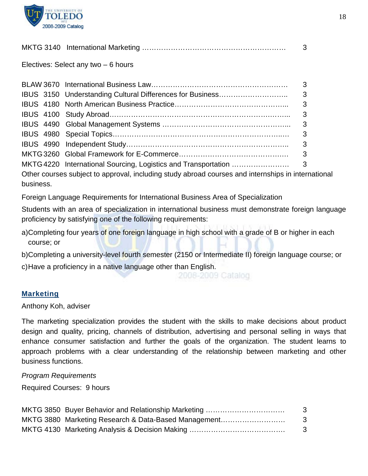

|--|--|--|--|--|

Electives: Select any two – 6 hours

|                                                                                                    | 3  |
|----------------------------------------------------------------------------------------------------|----|
|                                                                                                    | 3  |
|                                                                                                    |    |
|                                                                                                    | -3 |
|                                                                                                    |    |
|                                                                                                    |    |
|                                                                                                    |    |
| Other courses subject to approval, including study abroad courses and internships in international |    |

business.

Foreign Language Requirements for International Business Area of Specialization

Students with an area of specialization in international business must demonstrate foreign language proficiency by satisfying one of the following requirements:

a)Completing four years of one foreign language in high school with a grade of B or higher in each course; or

b)Completing a university-level fourth semester (2150 or Intermediate II) foreign language course; or c)Have a proficiency in a native language other than English.

2008-2009 Catalog

## **[Marketing](http://utoledo.edu/business/COBAProspectiveStudents/COBAPSDocs/Marketing.pdf)**

Anthony Koh, adviser

The marketing specialization provides the student with the skills to make decisions about product design and quality, pricing, channels of distribution, advertising and personal selling in ways that enhance consumer satisfaction and further the goals of the organization. The student learns to approach problems with a clear understanding of the relationship between marketing and other business functions.

*Program Requirements*

Required Courses: 9 hours

|                                                      | - 3 |
|------------------------------------------------------|-----|
| MKTG 3880 Marketing Research & Data-Based Management | - 3 |
|                                                      | -3  |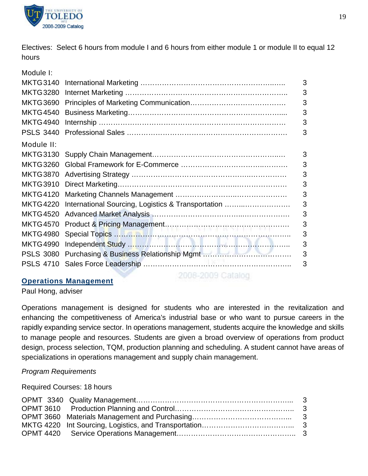

Electives: Select 6 hours from module I and 6 hours from either module 1 or module II to equal 12 hours

Module I:

| <b>MKTG3140</b>  |                                                    | 3 |
|------------------|----------------------------------------------------|---|
| <b>MKTG3280</b>  |                                                    | 3 |
| <b>MKTG3690</b>  |                                                    | 3 |
| <b>MKTG4540</b>  |                                                    | 3 |
| <b>MKTG4940</b>  |                                                    | 3 |
| <b>PSLS 3440</b> |                                                    | 3 |
| Module II:       |                                                    |   |
|                  |                                                    | 3 |
|                  |                                                    | 3 |
|                  |                                                    | 3 |
|                  |                                                    | 3 |
| <b>MKTG4120</b>  |                                                    | 3 |
| <b>MKTG4220</b>  | International Sourcing, Logistics & Transportation | 3 |
| <b>MKTG4520</b>  |                                                    | 3 |
| <b>MKTG4570</b>  |                                                    | 3 |
| <b>MKTG4980</b>  |                                                    | 3 |
| MKTG4990         |                                                    | 3 |
|                  |                                                    | 3 |
|                  |                                                    | 3 |
|                  |                                                    |   |

## **[Operations Management](http://utoledo.edu/business/COBAProspectiveStudents/COBAPSDocs/Operations_Management.pdf)**

2008-2009 Catalog

Paul Hong, adviser

Operations management is designed for students who are interested in the revitalization and enhancing the competitiveness of America's industrial base or who want to pursue careers in the rapidly expanding service sector. In operations management, students acquire the knowledge and skills to manage people and resources. Students are given a broad overview of operations from product design, process selection, TQM, production planning and scheduling. A student cannot have areas of specializations in operations management and supply chain management.

## *Program Requirements*

Required Courses: 18 hours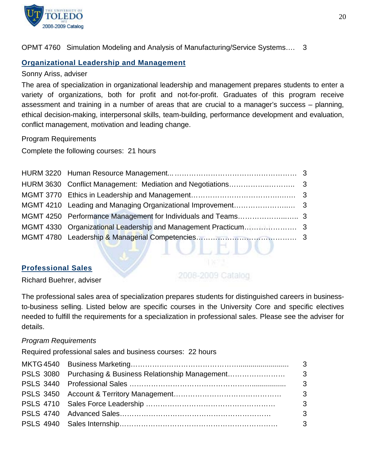

OPMT 4760 Simulation Modeling and Analysis of Manufacturing/Service Systems…. 3

## **[Organizational Leadership and Management](http://utoledo.edu/business/COBAProspectiveStudents/COBAPSDocs/Organizational_Leadership_and_.pdf)**

#### Sonny Ariss, adviser

The area of specialization in organizational leadership and management prepares students to enter a variety of organizations, both for profit and not-for-profit. Graduates of this program receive assessment and training in a number of areas that are crucial to a manager's success – planning, ethical decision-making, interpersonal skills, team-building, performance development and evaluation, conflict management, motivation and leading change.

Program Requirements

Complete the following courses: 21 hours

#### **[Professional Sales](http://utoledo.edu/business/COBAProspectiveStudents/COBAPSDocs/Professional_Sales.pdf)**

2006-2009 Catalog

ノトローノマノ

Richard Buehrer, adviser

The professional sales area of specialization prepares students for distinguished careers in businessto-business selling. Listed below are specific courses in the University Core and specific electives needed to fulfill the requirements for a specialization in professional sales. Please see the adviser for details.

#### *Program Requirements*

Required professional sales and business courses: 22 hours

| $\overline{\mathbf{3}}$ |
|-------------------------|
| $\overline{\mathbf{3}}$ |
|                         |
|                         |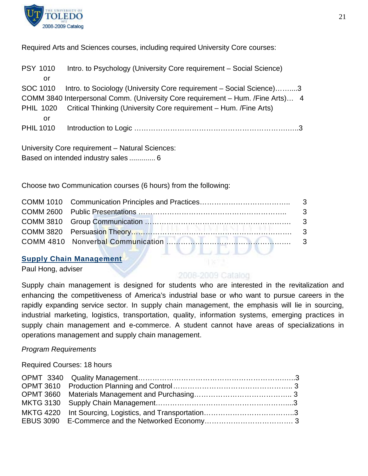

Required Arts and Sciences courses, including required University Core courses:

| <b>PSY 1010</b>  |                  | Intro. to Psychology (University Core requirement - Social Science)             |
|------------------|------------------|---------------------------------------------------------------------------------|
|                  | or               |                                                                                 |
| SOC 1010         |                  | Intro. to Sociology (University Core requirement – Social Science)3             |
|                  |                  | COMM 3840 Interpersonal Comm. (University Core requirement - Hum. /Fine Arts) 4 |
|                  | <b>PHIL 1020</b> | Critical Thinking (University Core requirement - Hum. /Fine Arts)               |
|                  | or               |                                                                                 |
| <b>PHIL 1010</b> |                  |                                                                                 |
|                  |                  |                                                                                 |
|                  |                  | University Core requirement - Natural Sciences:                                 |

Based on intended industry sales ............. 6

Choose two Communication courses (6 hours) from the following:

## **[Supply Chain Management](http://utoledo.edu/business/COBAProspectiveStudents/COBAPSDocs/Supply_Chain_Management.pdf)**

Paul Hong, adviser

## 2008-2009 Catalog

Supply chain management is designed for students who are interested in the revitalization and enhancing the competitiveness of America's industrial base or who want to pursue careers in the rapidly expanding service sector. In supply chain management, the emphasis will lie in sourcing, industrial marketing, logistics, transportation, quality, information systems, emerging practices in supply chain management and e-commerce. A student cannot have areas of specializations in operations management and supply chain management.

## *Program Requirements*

Required Courses: 18 hours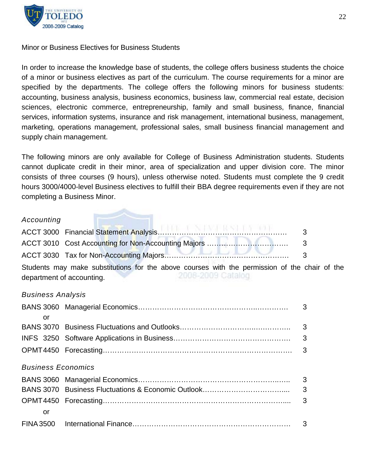

#### Minor or Business Electives for Business Students

In order to increase the knowledge base of students, the college offers business students the choice of a minor or business electives as part of the curriculum. The course requirements for a minor are specified by the departments. The college offers the following minors for business students: accounting, business analysis, business economics, business law, commercial real estate, decision sciences, electronic commerce, entrepreneurship, family and small business, finance, financial services, information systems, insurance and risk management, international business, management, marketing, operations management, professional sales, small business financial management and supply chain management.

The following minors are only available for College of Business Administration students. Students cannot duplicate credit in their minor, area of specialization and upper division core. The minor consists of three courses (9 hours), unless otherwise noted. Students must complete the 9 credit hours 3000/4000-level Business electives to fulfill their BBA degree requirements even if they are not completing a Business Minor.

#### *Accounting*

|                           | Students may make substitutions for the above courses with the permission of the chair of the |  |  |  |
|---------------------------|-----------------------------------------------------------------------------------------------|--|--|--|
| department of accounting. |                                                                                               |  |  |  |

#### *Business Analysis*

| or                        |  |
|---------------------------|--|
|                           |  |
|                           |  |
|                           |  |
|                           |  |
| <b>Business Economics</b> |  |
|                           |  |
|                           |  |
|                           |  |
| or                        |  |
|                           |  |
|                           |  |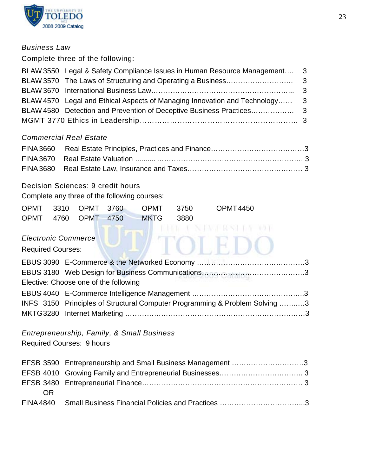

## *Business Law*

Complete three of the following:

| BLAW 3550 Legal & Safety Compliance Issues in Human Resource Management 3   |  |
|-----------------------------------------------------------------------------|--|
|                                                                             |  |
|                                                                             |  |
| BLAW 4570 Legal and Ethical Aspects of Managing Innovation and Technology 3 |  |
|                                                                             |  |
|                                                                             |  |
|                                                                             |  |

## *Commercial Real Estate*

## Decision Sciences: 9 credit hours

Complete any three of the following courses:

|  |  | OPMT 3310 OPMT 3760 OPMT 3750 | OPMT 4450 |
|--|--|-------------------------------|-----------|
|  |  | OPMT 4760 OPMT 4750 MKTG 3880 |           |

## *Electronic Commerce*

Required Courses:

| Elective: Choose one of the following                                       |  |
|-----------------------------------------------------------------------------|--|
|                                                                             |  |
| INFS 3150 Principles of Structural Computer Programming & Problem Solving 3 |  |
|                                                                             |  |

*Entrepreneurship, Family, & Small Business* Required Courses: 9 hours

|    | EFSB 3590 Entrepreneurship and Small Business Management 3 |  |
|----|------------------------------------------------------------|--|
|    |                                                            |  |
|    |                                                            |  |
| 0R |                                                            |  |
|    |                                                            |  |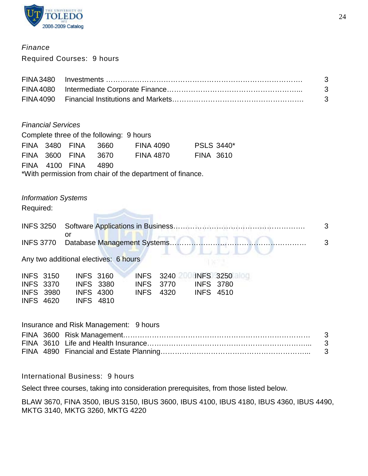

## *Finance*

Required Courses: 9 hours

|  | - 3 |
|--|-----|
|  | - 3 |
|  | - 3 |

#### *Financial Services*

| Complete three of the following: 9 hours                  |  |                     |  |                  |                   |  |
|-----------------------------------------------------------|--|---------------------|--|------------------|-------------------|--|
|                                                           |  | FINA 3480 FINA 3660 |  | <b>FINA 4090</b> | <b>PSLS 3440*</b> |  |
|                                                           |  | FINA 3600 FINA 3670 |  | <b>FINA 4870</b> | <b>FINA 3610</b>  |  |
|                                                           |  | FINA 4100 FINA 4890 |  |                  |                   |  |
| *With permission from chair of the department of finance. |  |                     |  |                  |                   |  |

## *Information Systems*

Required:

| Any two additional electives: 6 hours |  |
|---------------------------------------|--|

|                  | <b>INFS 3150</b> | <b>INFS 3160</b> |                  | INFS 3240 INFS 3250 |                  |  |
|------------------|------------------|------------------|------------------|---------------------|------------------|--|
| <b>INFS 3370</b> |                  | <b>INFS 3380</b> | INFS 3770        |                     | <b>INFS 3780</b> |  |
|                  | <b>INFS 3980</b> | <b>INFS 4300</b> | <b>INFS</b> 4320 |                     | <b>INFS 4510</b> |  |
| <b>INFS 4620</b> |                  | INFS 4810        |                  |                     |                  |  |

## Insurance and Risk Management: 9 hours

International Business: 9 hours

Select three courses, taking into consideration prerequisites, from those listed below.

BLAW 3670, FINA 3500, IBUS 3150, IBUS 3600, IBUS 4100, IBUS 4180, IBUS 4360, IBUS 4490, MKTG 3140, MKTG 3260, MKTG 4220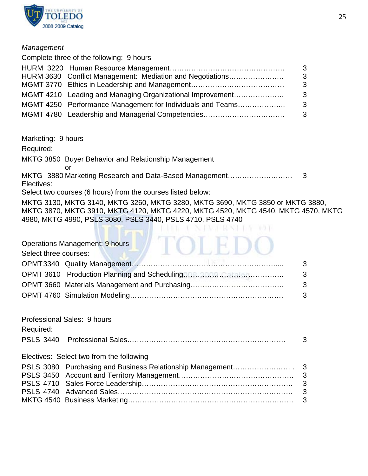

#### *Management*

|  | -3                                                                                                                                                                                                                                                                                   |
|--|--------------------------------------------------------------------------------------------------------------------------------------------------------------------------------------------------------------------------------------------------------------------------------------|
|  | -3                                                                                                                                                                                                                                                                                   |
|  | - 3                                                                                                                                                                                                                                                                                  |
|  | - 3                                                                                                                                                                                                                                                                                  |
|  | - 3                                                                                                                                                                                                                                                                                  |
|  | - 3                                                                                                                                                                                                                                                                                  |
|  | Complete three of the following: 9 hours<br>HURM 3630 Conflict Management: Mediation and Negotiations<br>MGMT 4210 Leading and Managing Organizational Improvement<br>MGMT 4250 Performance Management for Individuals and Teams<br>MGMT 4780 Leadership and Managerial Competencies |

Marketing: 9 hours

Required:

MKTG 3850 Buyer Behavior and Relationship Management

or MKTG 3880 Marketing Research and Data-Based Management……………………… 3 Electives:

Select two courses (6 hours) from the courses listed below:

MKTG 3130, MKTG 3140, MKTG 3260, MKTG 3280, MKTG 3690, MKTG 3850 or MKTG 3880, MKTG 3870, MKTG 3910, MKTG 4120, MKTG 4220, MKTG 4520, MKTG 4540, MKTG 4570, MKTG 4980, MKTG 4990, PSLS 3080, PSLS 3440, PSLS 4710, PSLS 4740

|                       | Operations Management: 9 hours           |                     |
|-----------------------|------------------------------------------|---------------------|
| Select three courses: |                                          |                     |
|                       |                                          | 3                   |
|                       |                                          | 3                   |
|                       |                                          | 3                   |
|                       |                                          | 3                   |
| Required:             | Professional Sales: 9 hours              |                     |
| <b>PSLS 3440</b>      |                                          | 3                   |
|                       | Electives: Select two from the following |                     |
|                       |                                          |                     |
|                       |                                          | $\mathfrak{S}$<br>3 |
|                       |                                          | 3                   |
|                       |                                          | 3                   |
|                       |                                          |                     |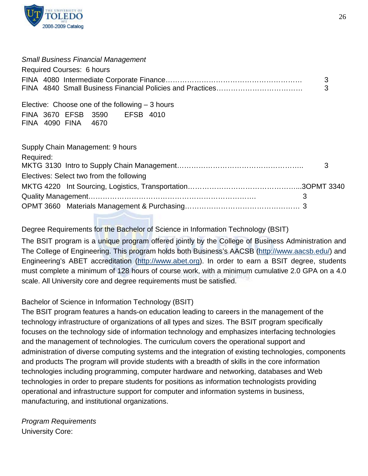

#### *Small Business Financial Management*

|  | Required Courses: 6 hours |  |
|--|---------------------------|--|
|  |                           |  |
|  |                           |  |

Elective: Choose one of the following – 3 hours FINA 3670 EFSB 3590 EFSB 4010 FINA 4090 FINA 4670

| Supply Chain Management: 9 hours         |  |
|------------------------------------------|--|
| Required:                                |  |
| Electives: Select two from the following |  |
|                                          |  |
|                                          |  |
|                                          |  |

## Degree Requirements for the Bachelor of Science in Information Technology (BSIT)

The BSIT program is a unique program offered jointly by the College of Business Administration and The College of Engineering. This program holds both Business's AACSB [\(http://www.aacsb.edu/\)](http://www.aacsb.edu/) and Engineering's ABET accreditation [\(http://www.abet.org\)](http://www.abet.org/). In order to earn a BSIT degree, students must complete a minimum of 128 hours of course work, with a minimum cumulative 2.0 GPA on a 4.0 scale. All University core and degree requirements must be satisfied.

## Bachelor of Science in Information Technology (BSIT)

The BSIT program features a hands-on education leading to careers in the management of the technology infrastructure of organizations of all types and sizes. The BSIT program specifically focuses on the technology side of information technology and emphasizes interfacing technologies and the management of technologies. The curriculum covers the operational support and administration of diverse computing systems and the integration of existing technologies, components and products The program will provide students with a breadth of skills in the core information technologies including programming, computer hardware and networking, databases and Web technologies in order to prepare students for positions as information technologists providing operational and infrastructure support for computer and information systems in business, manufacturing, and institutional organizations.

*Program Requirements* University Core: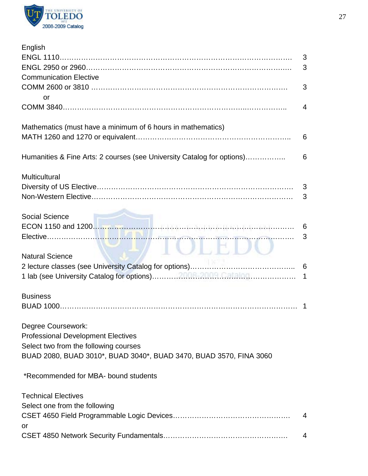

| English                                                                |                |
|------------------------------------------------------------------------|----------------|
|                                                                        | 3              |
|                                                                        | 3              |
| <b>Communication Elective</b>                                          |                |
|                                                                        | 3              |
|                                                                        |                |
| or                                                                     |                |
|                                                                        | $\overline{4}$ |
|                                                                        |                |
| Mathematics (must have a minimum of 6 hours in mathematics)            |                |
|                                                                        | 6              |
|                                                                        |                |
| Humanities & Fine Arts: 2 courses (see University Catalog for options) | 6              |
| <b>Multicultural</b>                                                   |                |
|                                                                        | 3              |
|                                                                        | 3              |
|                                                                        |                |
|                                                                        |                |
| Social Science<br>ECON 1150 and 1200.                                  | 6              |
|                                                                        | 3              |
|                                                                        |                |
|                                                                        |                |
| <b>Natural Science</b>                                                 |                |
|                                                                        |                |
|                                                                        |                |
|                                                                        |                |
| <b>Business</b>                                                        |                |
|                                                                        | -1             |
|                                                                        |                |
| Degree Coursework:                                                     |                |
| <b>Professional Development Electives</b>                              |                |
| Select two from the following courses                                  |                |
| BUAD 2080, BUAD 3010*, BUAD 3040*, BUAD 3470, BUAD 3570, FINA 3060     |                |
| *Recommended for MBA- bound students                                   |                |
| <b>Technical Electives</b>                                             |                |
| Select one from the following                                          |                |
|                                                                        |                |
|                                                                        | 4              |
| or                                                                     |                |
|                                                                        | 4              |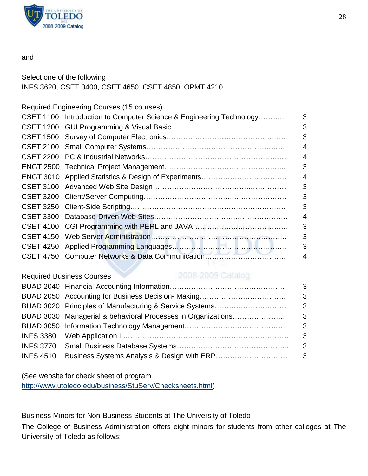

#### and

Select one of the following INFS 3620, CSET 3400, CSET 4650, CSET 4850, OPMT 4210

Required Engineering Courses (15 courses)

| CSET 1100 Introduction to Computer Science & Engineering Technology | 3 |
|---------------------------------------------------------------------|---|
|                                                                     | 3 |
|                                                                     | 3 |
|                                                                     | 4 |
|                                                                     | 4 |
|                                                                     | 3 |
|                                                                     | 4 |
|                                                                     | 3 |
|                                                                     | 3 |
|                                                                     | 3 |
|                                                                     | 4 |
|                                                                     | 3 |
|                                                                     | 3 |
|                                                                     | 3 |
| CSET 4750 Computer Networks & Data Communication                    | 4 |

#### Required Business Courses

## 2008-2009 Catalog

|  | $\overline{\mathbf{3}}$    |
|--|----------------------------|
|  | - 3                        |
|  | $\overline{\phantom{a}}$ 3 |
|  |                            |
|  | - 3                        |
|  | - 3                        |
|  |                            |
|  |                            |

(See website for check sheet of program [http://www.utoledo.edu/business/StuServ/Checksheets.html\)](http://www.utoledo.edu/business/StuServ/Checksheets.html)

Business Minors for Non-Business Students at The University of Toledo

The College of Business Administration offers eight minors for students from other colleges at The University of Toledo as follows: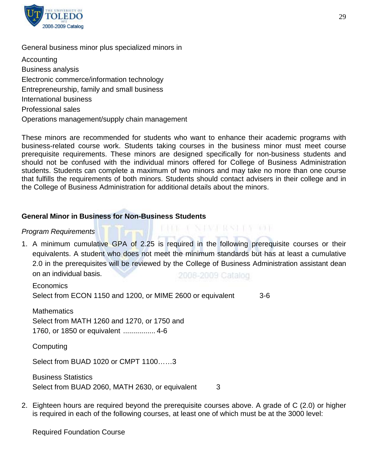

#### General business minor plus specialized minors in

Accounting Business analysis Electronic commerce/information technology Entrepreneurship, family and small business International business Professional sales Operations management/supply chain management

These minors are recommended for students who want to enhance their academic programs with business-related course work. Students taking courses in the business minor must meet course prerequisite requirements. These minors are designed specifically for non-business students and should not be confused with the individual minors offered for College of Business Administration students. Students can complete a maximum of two minors and may take no more than one course that fulfills the requirements of both minors. Students should contact advisers in their college and in the College of Business Administration for additional details about the minors.

#### **General Minor in Business for Non-Business Students**

#### *Program Requirements*

1. A minimum cumulative GPA of 2.25 is required in the following prerequisite courses or their equivalents. A student who does not meet the minimum standards but has at least a cumulative 2.0 in the prerequisites will be reviewed by the College of Business Administration assistant dean on an individual basis. 2008-2009 Catalog

THE CANADA RASHER TO BE

Economics Select from ECON 1150 and 1200, or MIME 2600 or equivalent 3-6

**Mathematics** Select from MATH 1260 and 1270, or 1750 and

1760, or 1850 or equivalent ................ 4-6

**Computing** 

Select from BUAD 1020 or CMPT 1100……3

Business Statistics Select from BUAD 2060, MATH 2630, or equivalent 3

2. Eighteen hours are required beyond the prerequisite courses above. A grade of C (2.0) or higher is required in each of the following courses, at least one of which must be at the 3000 level:

Required Foundation Course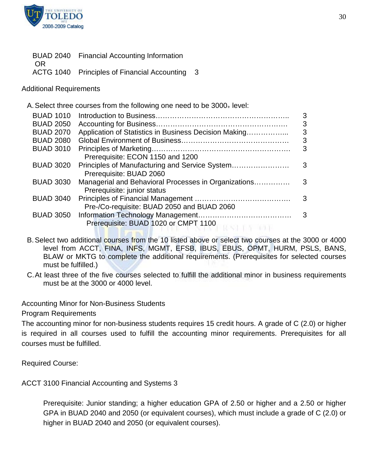

|      | BUAD 2040 Financial Accounting Information   |    |
|------|----------------------------------------------|----|
| - OR |                                              |    |
|      | ACTG 1040 Principles of Financial Accounting | -3 |

Additional Requirements

|                  | A. Select three courses from the following one need to be 3000 <sub>+</sub> level: |   |
|------------------|------------------------------------------------------------------------------------|---|
| <b>BUAD 1010</b> |                                                                                    | 3 |
| <b>BUAD 2050</b> |                                                                                    | 3 |
| <b>BUAD 2070</b> | Application of Statistics in Business Decision Making                              | 3 |
| <b>BUAD 2080</b> |                                                                                    | 3 |
| <b>BUAD 3010</b> |                                                                                    | 3 |
|                  | Prerequisite: ECON 1150 and 1200                                                   |   |
| <b>BUAD 3020</b> | Principles of Manufacturing and Service System                                     | 3 |
|                  | Prerequisite: BUAD 2060                                                            |   |
| <b>BUAD 3030</b> | Managerial and Behavioral Processes in Organizations                               | 3 |
|                  | Prerequisite: junior status                                                        |   |
| <b>BUAD 3040</b> |                                                                                    | 3 |
|                  | Pre-/Co-requisite: BUAD 2050 and BUAD 2060                                         |   |
| <b>BUAD 3050</b> |                                                                                    | 3 |
|                  | Prerequisite: BUAD 1020 or CMPT 1100<br>STER TOL                                   |   |
|                  |                                                                                    |   |

- B. Select two additional courses from the 10 listed above or select two courses at the 3000 or 4000 level from ACCT, FINA, INFS, MGMT, EFSB, IBUS, EBUS, OPMT, HURM, PSLS, BANS, BLAW or MKTG to complete the additional requirements. (Prerequisites for selected courses must be fulfilled.)
- C.At least three of the five courses selected to fulfill the additional minor in business requirements must be at the 3000 or 4000 level.

Accounting Minor for Non-Business Students

Program Requirements

The accounting minor for non-business students requires 15 credit hours. A grade of C (2.0) or higher is required in all courses used to fulfill the accounting minor requirements. Prerequisites for all courses must be fulfilled.

Required Course:

ACCT 3100 Financial Accounting and Systems 3

Prerequisite: Junior standing; a higher education GPA of 2.50 or higher and a 2.50 or higher GPA in BUAD 2040 and 2050 (or equivalent courses), which must include a grade of C (2.0) or higher in BUAD 2040 and 2050 (or equivalent courses).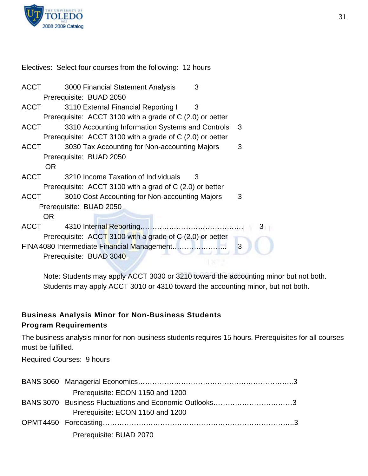

Electives: Select four courses from the following: 12 hours

| <b>ACCT</b> | 3000 Financial Statement Analysis<br>3                       |     |
|-------------|--------------------------------------------------------------|-----|
|             | Prerequisite: BUAD 2050                                      |     |
| <b>ACCT</b> | 3110 External Financial Reporting I<br>3                     |     |
|             | Prerequisite: ACCT 3100 with a grade of C (2.0) or better    |     |
| <b>ACCT</b> | 3310 Accounting Information Systems and Controls             | - 3 |
|             | Prerequisite: ACCT 3100 with a grade of $C(2.0)$ or better   |     |
| ACCT        | 3030 Tax Accounting for Non-accounting Majors                | 3   |
|             | Prerequisite: BUAD 2050                                      |     |
| OR.         |                                                              |     |
| <b>ACCT</b> | 3210 Income Taxation of Individuals<br>3                     |     |
|             | Prerequisite: $ACCT$ 3100 with a grad of $C$ (2.0) or better |     |
| <b>ACCT</b> | 3010 Cost Accounting for Non-accounting Majors               | 3   |
|             | Prerequisite: BUAD 2050                                      |     |
| OR.         |                                                              |     |
| ACCT        |                                                              | 3   |
|             | Prerequisite: ACCT 3100 with a grade of C (2.0) or better    |     |
|             |                                                              | 3   |
|             | Prerequisite: BUAD 3040                                      |     |
|             |                                                              |     |

Note: Students may apply ACCT 3030 or 3210 toward the accounting minor but not both. Students may apply ACCT 3010 or 4310 toward the accounting minor, but not both.

# **Business Analysis Minor for Non-Business Students**

## **Program Requirements**

The business analysis minor for non-business students requires 15 hours. Prerequisites for all courses must be fulfilled.

Required Courses: 9 hours

| Prerequisite: ECON 1150 and 1200                       |
|--------------------------------------------------------|
| BANS 3070 Business Fluctuations and Economic Outlooks3 |
| Prerequisite: ECON 1150 and 1200                       |
|                                                        |
| Prerequisite: BUAD 2070                                |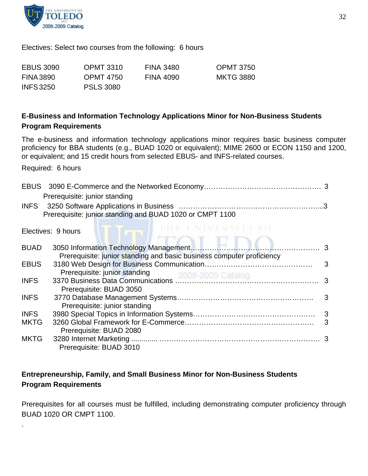

Electives: Select two courses from the following: 6 hours

| <b>EBUS 3090</b> | <b>OPMT 3310</b> | <b>FINA 3480</b> | <b>OPMT 3750</b> |
|------------------|------------------|------------------|------------------|
| <b>FINA 3890</b> | OPMT 4750        | FINA 4090        | <b>MKTG 3880</b> |
| <b>INFS 3250</b> | <b>PSLS 3080</b> |                  |                  |

## **E-Business and Information Technology Applications Minor for Non-Business Students Program Requirements**

The e-business and information technology applications minor requires basic business computer proficiency for BBA students (e.g., BUAD 1020 or equivalent); MIME 2600 or ECON 1150 and 1200, or equivalent; and 15 credit hours from selected EBUS- and INFS-related courses.

Required: 6 hours

.

|             | Prerequisite: junior standing                                         |   |
|-------------|-----------------------------------------------------------------------|---|
|             | Prerequisite: junior standing and BUAD 1020 or CMPT 1100              |   |
|             | SE E NAVNERSSENA I<br>Electives: 9 hours                              |   |
| <b>BUAD</b> | Prerequisite: junior standing and basic business computer proficiency |   |
| <b>EBUS</b> | Prerequisite: junior standing                                         | 3 |
| <b>INFS</b> | Prerequisite: BUAD 3050                                               |   |
| <b>INFS</b> | Prerequisite: junior standing                                         |   |
| <b>INFS</b> |                                                                       |   |
| <b>MKTG</b> | Prerequisite: BUAD 2080                                               | 3 |
| <b>MKTG</b> | Prerequisite: BUAD 3010                                               |   |

## **Entrepreneurship, Family, and Small Business Minor for Non-Business Students Program Requirements**

Prerequisites for all courses must be fulfilled, including demonstrating computer proficiency through BUAD 1020 OR CMPT 1100.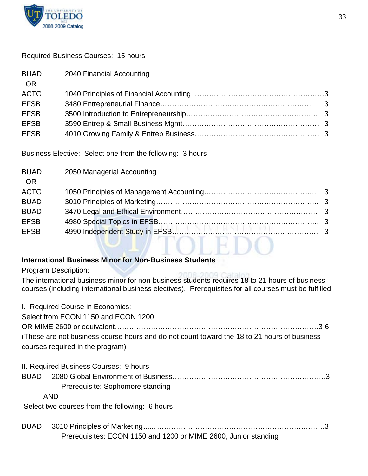

## Required Business Courses: 15 hours

| <b>BUAD</b><br><b>OR</b> | 2040 Financial Accounting |  |
|--------------------------|---------------------------|--|
| <b>ACTG</b>              |                           |  |
| <b>EFSB</b>              |                           |  |
| <b>EFSB</b>              |                           |  |
| <b>EFSB</b>              |                           |  |
| <b>EFSB</b>              |                           |  |
|                          |                           |  |

Business Elective: Select one from the following: 3 hours

| <b>BUAD</b> | 2050 Managerial Accounting |  |
|-------------|----------------------------|--|
| <b>OR</b>   |                            |  |
| <b>ACTG</b> |                            |  |
| <b>BUAD</b> |                            |  |
| <b>BUAD</b> |                            |  |
| <b>EFSB</b> |                            |  |
| <b>EFSB</b> |                            |  |
|             |                            |  |
|             |                            |  |

## **International Business Minor for Non-Business Students**

Program Description:

The international business minor for non-business students requires 18 to 21 hours of business courses (including international business electives). Prerequisites for all courses must be fulfilled.

|             | I. Required Course in Economics:<br>Select from ECON 1150 and ECON 1200<br>(These are not business course hours and do not count toward the 18 to 21 hours of business |
|-------------|------------------------------------------------------------------------------------------------------------------------------------------------------------------------|
|             | courses required in the program)                                                                                                                                       |
|             | II. Required Business Courses: 9 hours<br>Prerequisite: Sophomore standing<br><b>AND</b>                                                                               |
|             | Select two courses from the following: 6 hours                                                                                                                         |
| <b>BUAD</b> | Prerequisites: ECON 1150 and 1200 or MIME 2600, Junior standing                                                                                                        |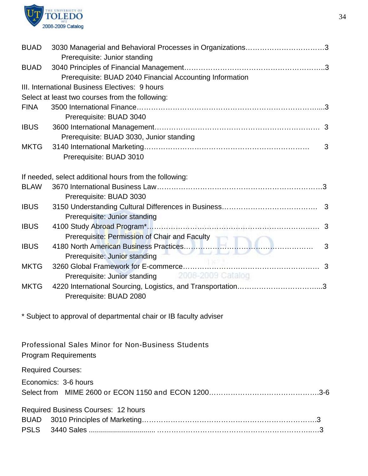

| <b>BUAD</b> | 3030 Managerial and Behavioral Processes in Organizations3                               |  |
|-------------|------------------------------------------------------------------------------------------|--|
|             | Prerequisite: Junior standing                                                            |  |
| <b>BUAD</b> |                                                                                          |  |
|             | Prerequisite: BUAD 2040 Financial Accounting Information                                 |  |
|             | III. International Business Electives: 9 hours                                           |  |
|             | Select at least two courses from the following:                                          |  |
| <b>FINA</b> |                                                                                          |  |
|             | Prerequisite: BUAD 3040                                                                  |  |
| <b>IBUS</b> |                                                                                          |  |
|             | Prerequisite: BUAD 3030, Junior standing                                                 |  |
| <b>MKTG</b> | 3                                                                                        |  |
|             | Prerequisite: BUAD 3010                                                                  |  |
|             | If needed, select additional hours from the following:                                   |  |
| <b>BLAW</b> |                                                                                          |  |
|             | Prerequisite: BUAD 3030                                                                  |  |
| <b>IBUS</b> | Prerequisite: Junior standing                                                            |  |
| <b>IBUS</b> | Prerequisite: Permission of Chair and Faculty                                            |  |
| <b>IBUS</b> | 3                                                                                        |  |
|             | Prerequisite: Junior standing                                                            |  |
| <b>MKTG</b> |                                                                                          |  |
|             | 2006-2009 Catalog<br>Prerequisite: Junior standing                                       |  |
| <b>MKTG</b> | Prerequisite: BUAD 2080                                                                  |  |
|             |                                                                                          |  |
|             | * Subject to approval of departmental chair or IB faculty adviser                        |  |
|             | <b>Professional Sales Minor for Non-Business Students</b><br><b>Program Requirements</b> |  |
|             | <b>Required Courses:</b>                                                                 |  |
|             | Economics: 3-6 hours                                                                     |  |
|             |                                                                                          |  |
|             | <b>Required Business Courses: 12 hours</b>                                               |  |
| <b>BUAD</b> |                                                                                          |  |
| <b>PSLS</b> |                                                                                          |  |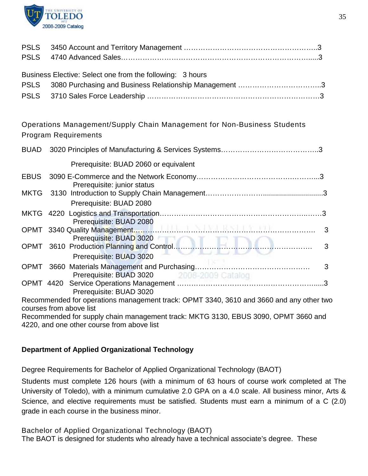

| Business Elective: Select one from the following: 3 hours |  |
|-----------------------------------------------------------|--|
|                                                           |  |
|                                                           |  |

Operations Management/Supply Chain Management for Non-Business Students Program Requirements

| <b>BUAD</b> |                                                                                                                    |  |
|-------------|--------------------------------------------------------------------------------------------------------------------|--|
|             | Prerequisite: BUAD 2060 or equivalent                                                                              |  |
| <b>EBUS</b> | Prerequisite: junior status                                                                                        |  |
|             |                                                                                                                    |  |
|             | Prerequisite: BUAD 2080                                                                                            |  |
|             | Prerequisite: BUAD 2080                                                                                            |  |
|             | 3<br>Prerequisite: BUAD 3020                                                                                       |  |
|             | 3                                                                                                                  |  |
|             | Prerequisite: BUAD 3020                                                                                            |  |
|             | 3<br>Prerequisite: BUAD 3020 2008-2009 Catalog                                                                     |  |
|             |                                                                                                                    |  |
|             | Prerequisite: BUAD 3020                                                                                            |  |
|             | Recommended for operations management track: OPMT 3340, 3610 and 3660 and any other two<br>courses from above list |  |
|             | Recommended for cupply obein menogement treak: MKTC 2120, EDUS 2000, ODMT 2660 and                                 |  |

Recommended for supply chain management track: MKTG 3130, EBUS 3090, OPMT 3660 and 4220, and one other course from above list

## **Department of Applied Organizational Technology**

Degree Requirements for Bachelor of Applied Organizational Technology (BAOT)

Students must complete 126 hours (with a minimum of 63 hours of course work completed at The University of Toledo), with a minimum cumulative 2.0 GPA on a 4.0 scale. All business minor, Arts & Science, and elective requirements must be satisfied. Students must earn a minimum of a C (2.0) grade in each course in the business minor.

Bachelor of Applied Organizational Technology (BAOT) The BAOT is designed for students who already have a technical associate's degree. These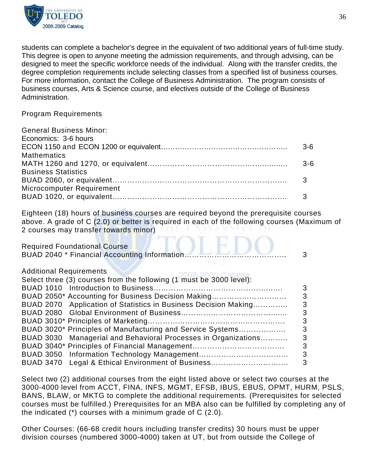

students can complete a bachelor's degree in the equivalent of two additional years of full-time study. This degree is open to anyone meeting the admission requirements, and through advising, can be designed to meet the specific workforce needs of the individual. Along with the transfer credits, the degree completion requirements include selecting classes from a specified list of business courses. For more information, contact the College of Business Administration. The program consists of business courses, Arts & Science course, and electives outside of the College of Business Administration.

#### Program Requirements

| <b>General Business Minor:</b> |         |
|--------------------------------|---------|
| Economics: 3-6 hours           |         |
|                                | $3-6$   |
| <b>Mathematics</b>             |         |
|                                | $3 - 6$ |
| <b>Business Statistics</b>     |         |
|                                |         |
| Microcomputer Requirement      |         |
|                                |         |
|                                |         |

Eighteen (18) hours of business courses are required beyond the prerequisite courses above. A grade of C (2.0) or better is required in each of the following courses (Maximum of 2 courses may transfer towards minor)

OLEDC

Required Foundational Course

|                                                                     | 3 |
|---------------------------------------------------------------------|---|
| <b>Additional Requirements</b>                                      |   |
| Select three (3) courses from the following (1 must be 3000 level): |   |
| <b>BUAD 1010</b>                                                    | 3 |
| BUAD 2050* Accounting for Business Decision Making                  | 3 |
| BUAD 2070 Application of Statistics in Business Decision Making     | 3 |
|                                                                     | 3 |
|                                                                     | 3 |
| BUAD 3020* Principles of Manufacturing and Service Systems          | 3 |
| BUAD 3030 Managerial and Behavioral Processes in Organizations      | 3 |
|                                                                     | 3 |
|                                                                     | 3 |
| BUAD 3470 Legal & Ethical Environment of Business                   | 3 |
|                                                                     |   |

Select two (2) additional courses from the eight listed above or select two courses at the 3000-4000 level from ACCT, FINA, INFS, MGMT, EFSB, IBUS, EBUS, OPMT, HURM, PSLS, BANS, BLAW, or MKTG to complete the additional requirements. (Prerequisites for selected courses must be fulfilled.) Prerequisites for an MBA also can be fulfilled by completing any of the indicated (\*) courses with a minimum grade of C (2.0).

Other Courses: (66-68 credit hours including transfer credits) 30 hours must be upper division courses (numbered 3000-4000) taken at UT, but from outside the College of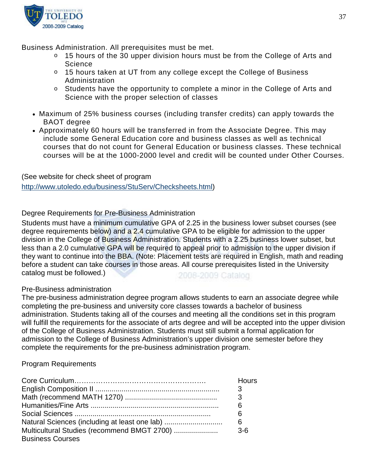

Business Administration. All prerequisites must be met.

- o 15 hours of the 30 upper division hours must be from the College of Arts and **Science**
- o 15 hours taken at UT from any college except the College of Business Administration
- o Students have the opportunity to complete a minor in the College of Arts and Science with the proper selection of classes
- Maximum of 25% business courses (including transfer credits) can apply towards the BAOT degree
- Approximately 60 hours will be transferred in from the Associate Degree. This may include some General Education core and business classes as well as technical courses that do not count for General Education or business classes. These technical courses will be at the 1000-2000 level and credit will be counted under Other Courses.

(See website for check sheet of program

[http://www.utoledo.edu/business/StuServ/Checksheets.html\)](http://www.utoledo.edu/business/StuServ/Checksheets.html)

## Degree Requirements for Pre-Business Administration

Students must have a minimum cumulative GPA of 2.25 in the business lower subset courses (see degree requirements below) and a 2.4 cumulative GPA to be eligible for admission to the upper division in the College of Business Administration. Students with a 2.25 business lower subset, but less than a 2.0 cumulative GPA will be required to appeal prior to admission to the upper division if they want to continue into the BBA. (Note: Placement tests are required in English, math and reading before a student can take courses in those areas. All course prerequisites listed in the University catalog must be followed.) 2008-2009 Catalog

## Pre-Business administration

The pre-business administration degree program allows students to earn an associate degree while completing the pre-business and university core classes towards a bachelor of business administration. Students taking all of the courses and meeting all the conditions set in this program will fulfill the requirements for the associate of arts degree and will be accepted into the upper division of the College of Business Administration. Students must still submit a formal application for admission to the College of Business Administration's upper division one semester before they complete the requirements for the pre-business administration program.

## Program Requirements

|                                               | Hours |
|-----------------------------------------------|-------|
|                                               | 3     |
|                                               | 3     |
|                                               | 6     |
|                                               | 6     |
| Natural Sciences (including at least one lab) | 6     |
| <b>Business Courses</b>                       | $3-6$ |
|                                               |       |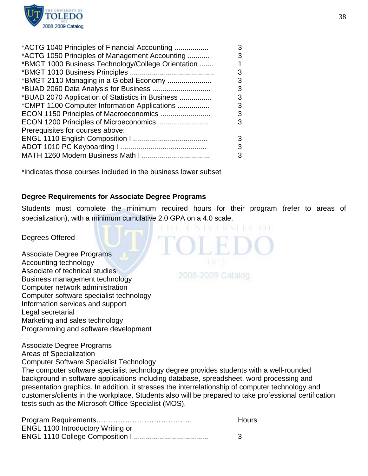

| *ACTG 1040 Principles of Financial Accounting      | 3 |
|----------------------------------------------------|---|
| *ACTG 1050 Principles of Management Accounting     | 3 |
| *BMGT 1000 Business Technology/College Orientation |   |
|                                                    | 3 |
| *BMGT 2110 Managing in a Global Economy            | 3 |
|                                                    | 3 |
| *BUAD 2070 Application of Statistics in Business   | 3 |
| *CMPT 1100 Computer Information Applications       | 3 |
| ECON 1150 Principles of Macroeconomics             | 3 |
| ECON 1200 Principles of Microeconomics             | 3 |
| Prerequisites for courses above:                   |   |
|                                                    | 3 |
|                                                    | 3 |
|                                                    | 3 |
|                                                    |   |

\*indicates those courses included in the business lower subset

#### **Degree Requirements for Associate Degree Programs**

Students must complete the minimum required hours for their program (refer to areas of specialization), with a minimum cumulative 2.0 GPA on a 4.0 scale.

#### Degrees Offered

Associate Degree Programs Accounting technology Associate of technical studies Business management technology Computer network administration Computer software specialist technology Information services and support Legal secretarial Marketing and sales technology Programming and software development

Associate Degree Programs

2008-2009 Catalog

Areas of Specialization Computer Software Specialist Technology The computer software specialist technology degree provides students with a well-rounded background in software applications including database, spreadsheet, word processing and presentation graphics. In addition, it stresses the interrelationship of computer technology and customers/clients in the workplace. Students also will be prepared to take professional certification tests such as the Microsoft Office Specialist (MOS).

|                                          | <b>Hours</b> |
|------------------------------------------|--------------|
| <b>ENGL 1100 Introductory Writing or</b> |              |
|                                          |              |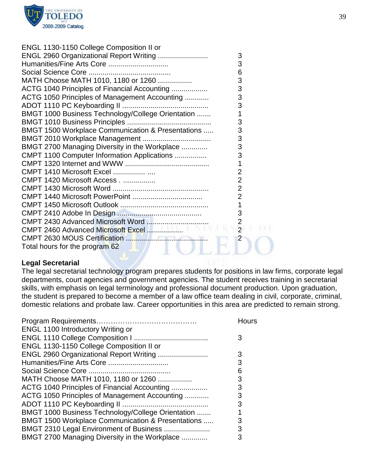

| ENGL 1130-1150 College Composition II or<br>ENGL 2960 Organizational Report Writing | 3              |
|-------------------------------------------------------------------------------------|----------------|
| Humanities/Fine Arts Core                                                           | 3              |
|                                                                                     | 6              |
| MATH Choose MATH 1010, 1180 or 1260                                                 | 3              |
|                                                                                     | 3              |
| ACTG 1040 Principles of Financial Accounting                                        |                |
| ACTG 1050 Principles of Management Accounting                                       | 3              |
|                                                                                     | 3              |
| BMGT 1000 Business Technology/College Orientation                                   | 1              |
|                                                                                     | 3              |
| BMGT 1500 Workplace Communication & Presentations                                   | 3              |
|                                                                                     | 3              |
| BMGT 2700 Managing Diversity in the Workplace                                       | 3              |
| CMPT 1100 Computer Information Applications                                         | 3              |
|                                                                                     | 1              |
| <b>CMPT 1410 Microsoft Excel  </b>                                                  | $\overline{2}$ |
| CMPT 1420 Microsoft Access                                                          | $\overline{2}$ |
|                                                                                     | $\overline{2}$ |
|                                                                                     | $\overline{2}$ |
|                                                                                     | 1              |
|                                                                                     | 3              |
| CMPT 2430 Advanced Microsoft Word                                                   | $\overline{2}$ |
| CMPT 2460 Advanced Microsoft Excel                                                  | $\overline{2}$ |
|                                                                                     | $\overline{2}$ |
| Total hours for the program 62                                                      |                |
|                                                                                     |                |

#### **Legal Secretarial**

The legal secretarial technology program prepares students for positions in law firms, corporate legal departments, court agencies and government agencies. The student receives training in secretarial skills, with emphasis on legal terminology and professional document production. Upon graduation, the student is prepared to become a member of a law office team dealing in civil, corporate, criminal, domestic relations and probate law. Career opportunities in this area are predicted to remain strong.

|                                                               | Hours |
|---------------------------------------------------------------|-------|
| <b>ENGL 1100 Introductory Writing or</b>                      |       |
|                                                               | 3     |
| ENGL 1130-1150 College Composition II or                      |       |
| ENGL 2960 Organizational Report Writing                       | 3     |
| Humanities/Fine Arts Core                                     | 3     |
|                                                               | 6     |
| MATH Choose MATH 1010, 1180 or 1260                           | 3     |
| ACTG 1040 Principles of Financial Accounting                  | 3     |
| ACTG 1050 Principles of Management Accounting                 | 3     |
|                                                               | 3     |
| BMGT 1000 Business Technology/College Orientation             |       |
| <b>BMGT 1500 Workplace Communication &amp; Presentations </b> | 3     |
| BMGT 2310 Legal Environment of Business                       | 3     |
| BMGT 2700 Managing Diversity in the Workplace                 | 3     |
|                                                               |       |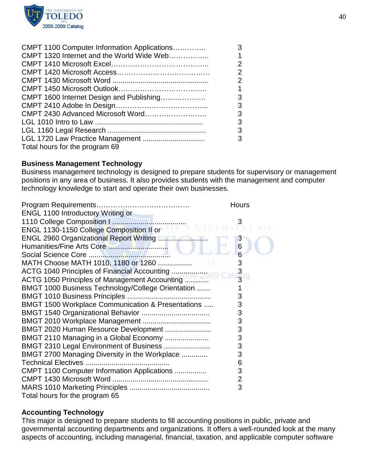

| CMPT 1100 Computer Information Applications | 3              |
|---------------------------------------------|----------------|
| CMPT 1320 Internet and the World Wide Web   | $\mathbf{1}$   |
|                                             | $\overline{2}$ |
|                                             | $\overline{2}$ |
|                                             | $\overline{2}$ |
|                                             | $\mathbf 1$    |
| CMPT 1600 Internet Design and Publishing    | 3              |
|                                             | 3              |
|                                             | 3              |
|                                             | 3              |
|                                             | 3              |
|                                             | 3              |
| Total hours for the program 69              |                |

#### **Business Management Technology**

Business management technology is designed to prepare students for supervisory or management positions in any area of business. It also provides students with the management and computer technology knowledge to start and operate their own businesses.

|                                                   | <b>Hours</b>   |
|---------------------------------------------------|----------------|
| ENGL 1100 Introductory Writing or                 |                |
|                                                   |                |
| ENGL 1130-1150 College Composition II or          |                |
| ENGL 2960 Organizational Report Writing           | 3              |
|                                                   | 6              |
|                                                   | 6              |
| MATH Choose MATH 1010, 1180 or 1260               | 3              |
|                                                   | 3              |
| ACTG 1050 Principles of Management Accounting     | $\overline{3}$ |
| BMGT 1000 Business Technology/College Orientation |                |
|                                                   | 3              |
| BMGT 1500 Workplace Communication & Presentations | 3              |
|                                                   | 3              |
|                                                   | 3              |
| BMGT 2020 Human Resource Development              | 3              |
| BMGT 2110 Managing in a Global Economy            | 3              |
| BMGT 2310 Legal Environment of Business           | 3              |
| BMGT 2700 Managing Diversity in the Workplace     | 3              |
|                                                   | 6              |
| CMPT 1100 Computer Information Applications       | 3              |
|                                                   | 2              |
|                                                   | 3              |
| Total hours for the program 65                    |                |

#### **Accounting Technology**

This major is designed to prepare students to fill accounting positions in public, private and governmental accounting departments and organizations. It offers a well-rounded look at the many aspects of accounting, including managerial, financial, taxation, and applicable computer software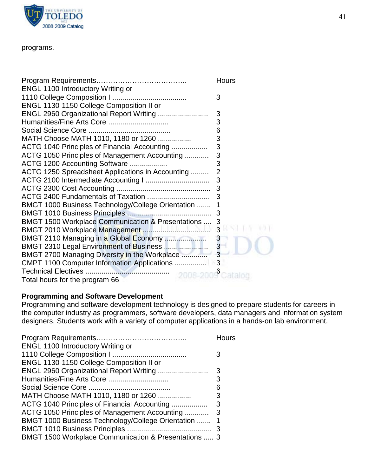

#### programs.

| <b>ENGL 1100 Introductory Writing or</b>          | <b>Hours</b>   |
|---------------------------------------------------|----------------|
|                                                   | 3              |
| ENGL 1130-1150 College Composition II or          |                |
| ENGL 2960 Organizational Report Writing           | 3              |
| Humanities/Fine Arts Core                         | 3              |
|                                                   | 6              |
| MATH Choose MATH 1010, 1180 or 1260               | 3              |
| ACTG 1040 Principles of Financial Accounting      | $\frac{3}{3}$  |
| ACTG 1050 Principles of Management Accounting     |                |
| ACTG 1200 Accounting Software                     | 3              |
| ACTG 1250 Spreadsheet Applications in Accounting  | $\overline{2}$ |
|                                                   | 3              |
|                                                   | 3              |
|                                                   |                |
| BMGT 1000 Business Technology/College Orientation | 1              |
|                                                   | 3              |
| BMGT 1500 Workplace Communication & Presentations | 3              |
|                                                   | 3              |
| BMGT 2110 Managing in a Global Economy            | $\mathbf{3}$   |
| BMGT 2310 Legal Environment of Business           | $\frac{3}{3}$  |
| BMGT 2700 Managing Diversity in the Workplace     |                |
| CMPT 1100 Computer Information Applications       | 3              |
|                                                   |                |
| Total hours for the program 66                    |                |

## **Programming and Software Development**

Programming and software development technology is designed to prepare students for careers in the computer industry as programmers, software developers, data managers and information system designers. Students work with a variety of computer applications in a hands-on lab environment.

|                                                      | Hours |
|------------------------------------------------------|-------|
| <b>ENGL 1100 Introductory Writing or</b>             |       |
|                                                      | 3     |
| ENGL 1130-1150 College Composition II or             |       |
|                                                      | 3     |
|                                                      | 3     |
|                                                      | 6     |
| MATH Choose MATH 1010, 1180 or 1260                  | 3     |
| ACTG 1040 Principles of Financial Accounting         | 3     |
| ACTG 1050 Principles of Management Accounting        | 3     |
| BMGT 1000 Business Technology/College Orientation    | 1     |
|                                                      |       |
| BMGT 1500 Workplace Communication & Presentations  3 |       |
|                                                      |       |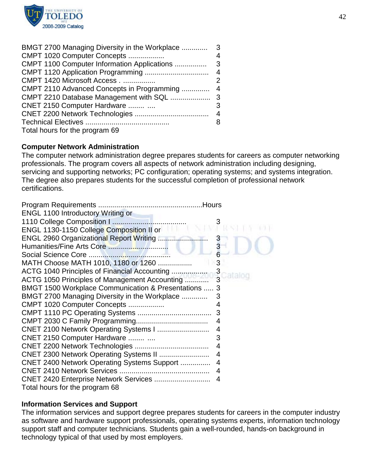

| BMGT 2700 Managing Diversity in the Workplace | 3              |
|-----------------------------------------------|----------------|
| CMPT 1020 Computer Concepts                   | 4              |
| CMPT 1100 Computer Information Applications   | - 3            |
|                                               | $\overline{4}$ |
| CMPT 1420 Microsoft Access                    | 2              |
| CMPT 2110 Advanced Concepts in Programming    | $\overline{4}$ |
|                                               |                |
| CNET 2150 Computer Hardware                   | 3              |
|                                               |                |
|                                               | 8              |
| Total hours for the program 69                |                |

#### **Computer Network Administration**

The computer network administration degree prepares students for careers as computer networking professionals. The program covers all aspects of network administration including designing, servicing and supporting networks; PC configuration; operating systems; and systems integration. The degree also prepares students for the successful completion of professional network certifications.

| ENGL 1100 Introductory Writing or                    |   |
|------------------------------------------------------|---|
|                                                      | 3 |
| ENGL 1130-1150 College Composition II or             |   |
| ENGL 2960 Organizational Report Writing              |   |
|                                                      |   |
|                                                      |   |
| MATH Choose MATH 1010, 1180 or 1260                  | 3 |
| ACTG 1040 Principles of Financial Accounting         |   |
| ACTG 1050 Principles of Management Accounting        |   |
| BMGT 1500 Workplace Communication & Presentations  3 |   |
| BMGT 2700 Managing Diversity in the Workplace        | 3 |
| CMPT 1020 Computer Concepts                          | 4 |
|                                                      | 3 |
|                                                      | 4 |
| CNET 2100 Network Operating Systems I                | 4 |
| CNET 2150 Computer Hardware                          | 3 |
|                                                      | 4 |
| CNET 2300 Network Operating Systems II               | 4 |
| <b>CNET 2400 Network Operating Systems Support </b>  | 4 |
|                                                      | 4 |
| CNET 2420 Enterprise Network Services                | 4 |
| Total hours for the program 68                       |   |

#### **Information Services and Support**

The information services and support degree prepares students for careers in the computer industry as software and hardware support professionals, operating systems experts, information technology support staff and computer technicians. Students gain a well-rounded, hands-on background in technology typical of that used by most employers.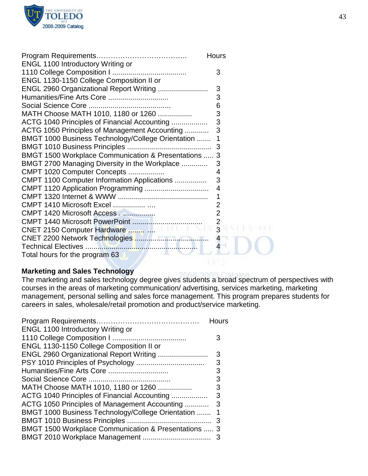

|                                                      | <b>Hours</b>            |
|------------------------------------------------------|-------------------------|
| <b>ENGL 1100 Introductory Writing or</b>             |                         |
|                                                      | 3                       |
| ENGL 1130-1150 College Composition II or             |                         |
| ENGL 2960 Organizational Report Writing              | 3                       |
| Humanities/Fine Arts Core                            | 3                       |
|                                                      | 6                       |
| MATH Choose MATH 1010, 1180 or 1260                  | 3                       |
| ACTG 1040 Principles of Financial Accounting         | 3                       |
| ACTG 1050 Principles of Management Accounting        | 3                       |
| BMGT 1000 Business Technology/College Orientation    |                         |
|                                                      | 3                       |
| BMGT 1500 Workplace Communication & Presentations  3 |                         |
| BMGT 2700 Managing Diversity in the Workplace        | 3                       |
| CMPT 1020 Computer Concepts                          | 4                       |
| CMPT 1100 Computer Information Applications          | 3                       |
|                                                      | $\overline{4}$          |
|                                                      | 1                       |
| CMPT 1410 Microsoft Excel                            | 2                       |
| CMPT 1420 Microsoft Access                           | $\overline{2}$          |
|                                                      |                         |
|                                                      | $\mathbf{3}$            |
|                                                      | $\overline{\mathbf{4}}$ |
|                                                      | $\overline{\mathbf{4}}$ |
| Total hours for the program 63                       |                         |

## **Marketing and Sales Technology**

The marketing and sales technology degree gives students a broad spectrum of perspectives with courses in the areas of marketing communication/ advertising, services marketing, marketing management, personal selling and sales force management. This program prepares students for careers in sales, wholesale/retail promotion and product/service marketing.

|                                                      | Hours |
|------------------------------------------------------|-------|
| <b>ENGL 1100 Introductory Writing or</b>             |       |
|                                                      |       |
| ENGL 1130-1150 College Composition II or             |       |
|                                                      | 3     |
|                                                      | 3     |
|                                                      | 3     |
|                                                      | 3     |
| MATH Choose MATH 1010, 1180 or 1260                  | 3     |
| ACTG 1040 Principles of Financial Accounting         | 3     |
| ACTG 1050 Principles of Management Accounting        | 3     |
| BMGT 1000 Business Technology/College Orientation    |       |
|                                                      | - 3   |
| BMGT 1500 Workplace Communication & Presentations  3 |       |
|                                                      | 3     |
|                                                      |       |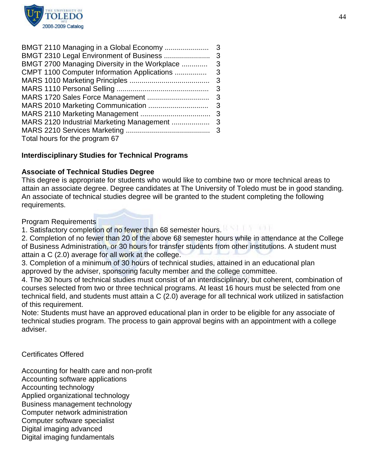

| BMGT 2110 Managing in a Global Economy        | 3 |
|-----------------------------------------------|---|
| BMGT 2310 Legal Environment of Business       | 3 |
| BMGT 2700 Managing Diversity in the Workplace | 3 |
| CMPT 1100 Computer Information Applications   | 3 |
|                                               | 3 |
|                                               | 3 |
|                                               |   |
|                                               |   |
|                                               |   |
|                                               |   |
|                                               |   |
| Total hours for the program 67                |   |

## **Interdisciplinary Studies for Technical Programs**

#### **Associate of Technical Studies Degree**

This degree is appropriate for students who would like to combine two or more technical areas to attain an associate degree. Degree candidates at The University of Toledo must be in good standing. An associate of technical studies degree will be granted to the student completing the following requirements.

Program Requirements

1. Satisfactory completion of no fewer than 68 semester hours.

2. Completion of no fewer than 20 of the above 68 semester hours while in attendance at the College of Business Administration, or 30 hours for transfer students from other institutions. A student must attain a C (2.0) average for all work at the college.

3. Completion of a minimum of 30 hours of technical studies, attained in an educational plan approved by the adviser, sponsoring faculty member and the college committee.

4. The 30 hours of technical studies must consist of an interdisciplinary, but coherent, combination of courses selected from two or three technical programs. At least 16 hours must be selected from one technical field, and students must attain a C (2.0) average for all technical work utilized in satisfaction of this requirement.

Note: Students must have an approved educational plan in order to be eligible for any associate of technical studies program. The process to gain approval begins with an appointment with a college adviser.

Certificates Offered

Accounting for health care and non-profit Accounting software applications Accounting technology Applied organizational technology Business management technology Computer network administration Computer software specialist Digital imaging advanced Digital imaging fundamentals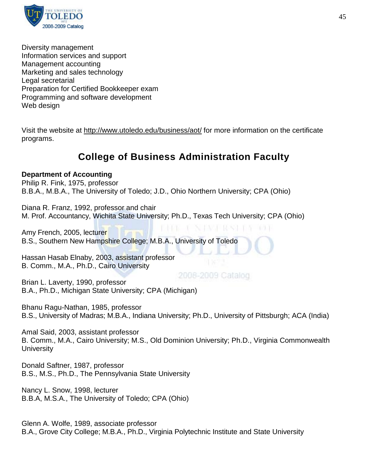

Diversity management Information services and support Management accounting Marketing and sales technology Legal secretarial Preparation for Certified Bookkeeper exam Programming and software development Web design

Visit the website at<http://www.utoledo.edu/business/aot/> for more information on the certificate programs.

## **College of Business Administration Faculty**

## **Department of Accounting**

Philip R. Fink, 1975, professor B.B.A., M.B.A., The University of Toledo; J.D., Ohio Northern University; CPA (Ohio)

Diana R. Franz, 1992, professor and chair M. Prof. Accountancy, Wichita State University; Ph.D., Texas Tech University; CPA (Ohio)

33 T Amy French, 2005, lecturer B.S., Southern New Hampshire College; M.B.A., University of Toledo

Hassan Hasab Elnaby, 2003, assistant professor B. Comm., M.A., Ph.D., Cairo University

2008-2009 Catalog

Brian L. Laverty, 1990, professor B.A., Ph.D., Michigan State University; CPA (Michigan)

Bhanu Ragu-Nathan, 1985, professor B.S., University of Madras; M.B.A., Indiana University; Ph.D., University of Pittsburgh; ACA (India)

Amal Said, 2003, assistant professor B. Comm., M.A., Cairo University; M.S., Old Dominion University; Ph.D., Virginia Commonwealth **University** 

Donald Saftner, 1987, professor B.S., M.S., Ph.D., The Pennsylvania State University

Nancy L. Snow, 1998, lecturer B.B.A, M.S.A., The University of Toledo; CPA (Ohio)

Glenn A. Wolfe, 1989, associate professor B.A., Grove City College; M.B.A., Ph.D., Virginia Polytechnic Institute and State University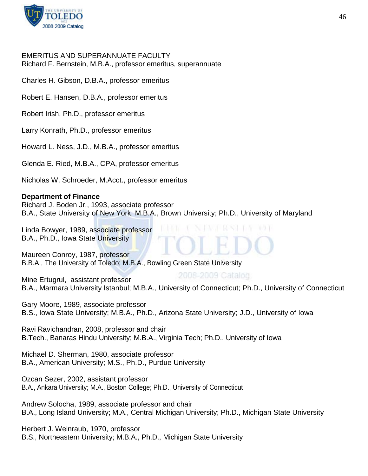

#### EMERITUS AND SUPERANNUATE FACULTY Richard F. Bernstein, M.B.A., professor emeritus, superannuate

Charles H. Gibson, D.B.A., professor emeritus

Robert E. Hansen, D.B.A., professor emeritus

Robert Irish, Ph.D., professor emeritus

Larry Konrath, Ph.D., professor emeritus

Howard L. Ness, J.D., M.B.A., professor emeritus

Glenda E. Ried, M.B.A., CPA, professor emeritus

Nicholas W. Schroeder, M.Acct., professor emeritus

#### **Department of Finance**

Richard J. Boden Jr., 1993, associate professor B.A., State University of New York; M.B.A., Brown University; Ph.D., University of Maryland

Linda Bowyer, 1989, associate professor B.A., Ph.D., Iowa State University

Maureen Conroy, 1987, professor B.B.A., The University of Toledo; M.B.A., Bowling Green State University

2008-2009 Catalog Mine Ertugrul, assistant professor B.A., Marmara University Istanbul; M.B.A., University of Connecticut; Ph.D., University of Connecticut

Gary Moore, 1989, associate professor B.S., Iowa State University; M.B.A., Ph.D., Arizona State University; J.D., University of Iowa

Ravi Ravichandran, 2008, professor and chair B.Tech., Banaras Hindu University; M.B.A., Virginia Tech; Ph.D., University of Iowa

Michael D. Sherman, 1980, associate professor B.A., American University; M.S., Ph.D., Purdue University

Ozcan Sezer, 2002, assistant professor B.A., Ankara University; M.A., Boston College; Ph.D., University of Connecticut

Andrew Solocha, 1989, associate professor and chair B.A., Long Island University; M.A., Central Michigan University; Ph.D., Michigan State University

Herbert J. Weinraub, 1970, professor B.S., Northeastern University; M.B.A., Ph.D., Michigan State University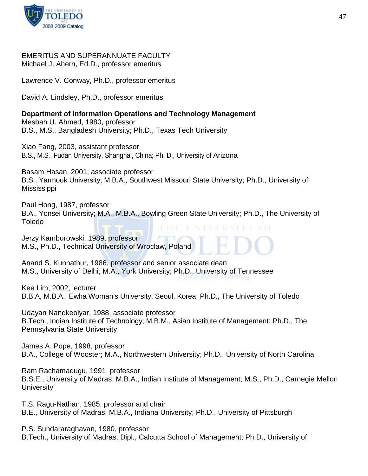

#### EMERITUS AND SUPERANNUATE FACULTY Michael J. Ahern, Ed.D., professor emeritus

Lawrence V. Conway, Ph.D., professor emeritus

David A. Lindsley, Ph.D., professor emeritus

#### **Department of Information Operations and Technology Management** Mesbah U. Ahmed, 1980, professor

B.S., M.S., Bangladesh University; Ph.D., Texas Tech University

Xiao Fang, 2003, assistant professor B.S., M.S., Fudan University, Shanghai, China; Ph. D., University of Arizona

Basam Hasan, 2001, associate professor B.S., Yarmouk University; M.B.A., Southwest Missouri State University; Ph.D., University of **Mississippi** 

Paul Hong, 1987, professor B.A., Yonsei University; M.A., M.B.A., Bowling Green State University; Ph.D., The University of Toledo

Jerzy Kamburowski, 1989, professor M.S., Ph.D., Technical University of Wroclaw, Poland

Anand S. Kunnathur, 1986, professor and senior associate dean M.S., University of Delhi; M.A., York University; Ph.D., University of Tennessee

Kee Lim, 2002, lecturer B.B.A, M.B.A., Ewha Woman's University, Seoul, Korea; Ph.D., The University of Toledo

Udayan Nandkeolyar, 1988, associate professor B.Tech., Indian Institute of Technology; M.B.M., Asian Institute of Management; Ph.D., The Pennsylvania State University

James A. Pope, 1998, professor B.A., College of Wooster; M.A., Northwestern University; Ph.D., University of North Carolina

Ram Rachamadugu, 1991, professor B.S.E., University of Madras; M.B.A., Indian Institute of Management; M.S., Ph.D., Carnegie Mellon **University** 

T.S. Ragu-Nathan, 1985, professor and chair B.E., University of Madras; M.B.A., Indiana University; Ph.D., University of Pittsburgh

P.S. Sundararaghavan, 1980, professor B.Tech., University of Madras; Dipl., Calcutta School of Management; Ph.D., University of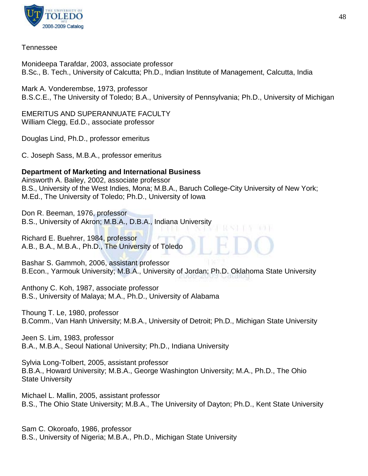

### Tennessee

Monideepa Tarafdar, 2003, associate professor B.Sc., B. Tech., University of Calcutta; Ph.D., Indian Institute of Management, Calcutta, India

Mark A. Vonderembse, 1973, professor B.S.C.E., The University of Toledo; B.A., University of Pennsylvania; Ph.D., University of Michigan

EMERITUS AND SUPERANNUATE FACULTY William Clegg, Ed.D., associate professor

Douglas Lind, Ph.D., professor emeritus

C. Joseph Sass, M.B.A., professor emeritus

## **Department of Marketing and International Business**

Ainsworth A. Bailey, 2002, associate professor B.S., University of the West Indies, Mona; M.B.A., Baruch College-City University of New York; M.Ed., The University of Toledo; Ph.D., University of Iowa

Don R. Beeman, 1976, professor B.S., University of Akron; M.B.A., D.B.A., Indiana University

Richard E. Buehrer, 1984, professor A.B., B.A., M.B.A., Ph.D., The University of Toledo

Bashar S. Gammoh, 2006, assistant professor B.Econ., Yarmouk University; M.B.A., University of Jordan; Ph.D. Oklahoma State University

Anthony C. Koh, 1987, associate professor B.S., University of Malaya; M.A., Ph.D., University of Alabama

Thoung T. Le, 1980, professor B.Comm., Van Hanh University; M.B.A., University of Detroit; Ph.D., Michigan State University

Jeen S. Lim, 1983, professor B.A., M.B.A., Seoul National University; Ph.D., Indiana University

Sylvia Long-Tolbert, 2005, assistant professor B.B.A., Howard University; M.B.A., George Washington University; M.A., Ph.D., The Ohio State University

Michael L. Mallin, 2005, assistant professor B.S., The Ohio State University; M.B.A., The University of Dayton; Ph.D., Kent State University

Sam C. Okoroafo, 1986, professor B.S., University of Nigeria; M.B.A., Ph.D., Michigan State University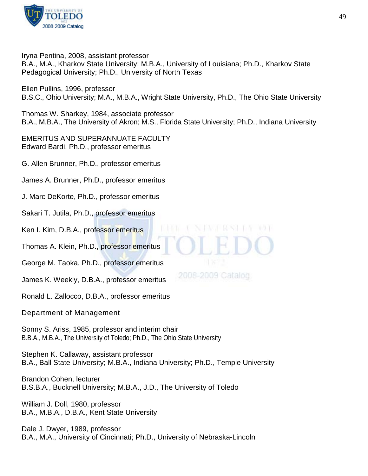

Iryna Pentina, 2008, assistant professor

B.A., M.A., Kharkov State University; M.B.A., University of Louisiana; Ph.D., Kharkov State Pedagogical University; Ph.D., University of North Texas

Ellen Pullins, 1996, professor B.S.C., Ohio University; M.A., M.B.A., Wright State University, Ph.D., The Ohio State University

Thomas W. Sharkey, 1984, associate professor B.A., M.B.A., The University of Akron; M.S., Florida State University; Ph.D., Indiana University

EMERITUS AND SUPERANNUATE FACULTY Edward Bardi, Ph.D., professor emeritus

G. Allen Brunner, Ph.D., professor emeritus

James A. Brunner, Ph.D., professor emeritus

J. Marc DeKorte, Ph.D., professor emeritus

Sakari T. Jutila, Ph.D., professor emeritus

Ken I. Kim, D.B.A., professor emeritus

Thomas A. Klein, Ph.D., professor emeritus

George M. Taoka, Ph.D., professor emeritus

James K. Weekly, D.B.A., professor emeritus

Ronald L. Zallocco, D.B.A., professor emeritus

Department of Management

Sonny S. Ariss, 1985, professor and interim chair B.B.A., M.B.A., The University of Toledo; Ph.D., The Ohio State University

Stephen K. Callaway, assistant professor B.A., Ball State University; M.B.A., Indiana University; Ph.D., Temple University

Brandon Cohen, lecturer B.S.B.A., Bucknell University; M.B.A., J.D., The University of Toledo

William J. Doll, 1980, professor B.A., M.B.A., D.B.A., Kent State University

Dale J. Dwyer, 1989, professor B.A., M.A., University of Cincinnati; Ph.D., University of Nebraska-Lincoln

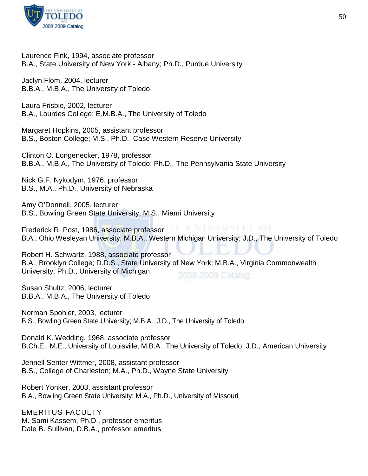

Laurence Fink, 1994, associate professor B.A., State University of New York - Albany; Ph.D., Purdue University

Jaclyn Flom, 2004, lecturer B.B.A., M.B.A., The University of Toledo

Laura Frisbie, 2002, lecturer B.A., Lourdes College; E.M.B.A., The University of Toledo

Margaret Hopkins, 2005, assistant professor B.S., Boston College; M.S., Ph.D., Case Western Reserve University

Clinton O. Longenecker, 1978, professor B.B.A., M.B.A., The University of Toledo; Ph.D., The Pennsylvania State University

Nick G.F. Nykodym, 1976, professor B.S., M.A., Ph.D., University of Nebraska

Amy O'Donnell, 2005, lecturer B.S., Bowling Green State University; M.S., Miami University

**PASSE RESSUES FROM A** Frederick R. Post, 1986, associate professor B.A., Ohio Wesleyan University; M.B.A., Western Michigan University; J.D., The University of Toledo

Robert H. Schwartz, 1988, associate professor B.A., Brooklyn College; D.D.S., State University of New York; M.B.A., Virginia Commonwealth University; Ph.D., University of Michigan 2008-2009 Catalog

Susan Shultz, 2006, lecturer B.B.A., M.B.A., The University of Toledo

Norman Spohler, 2003, lecturer B.S., Bowling Green State University; M.B.A., J.D., The University of Toledo

Donald K. Wedding, 1968, associate professor B.Ch.E., M.E., University of Louisville; M.B.A., The University of Toledo; J.D., American University

Jennell Senter Wittmer, 2008, assistant professor B.S., College of Charleston; M.A., Ph.D., Wayne State University

Robert Yonker, 2003, assistant professor B.A., Bowling Green State University; M.A., Ph.D., University of Missouri

EMERITUS FACULTY M. Sami Kassem, Ph.D., professor emeritus Dale B. Sullivan, D.B.A., professor emeritus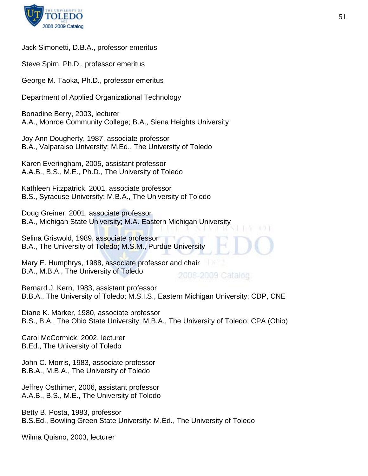

#### Jack Simonetti, D.B.A., professor emeritus

Steve Spirn, Ph.D., professor emeritus

George M. Taoka, Ph.D., professor emeritus

Department of Applied Organizational Technology

Bonadine Berry, 2003, lecturer A.A., Monroe Community College; B.A., Siena Heights University

Joy Ann Dougherty, 1987, associate professor B.A., Valparaiso University; M.Ed., The University of Toledo

Karen Everingham, 2005, assistant professor A.A.B., B.S., M.E., Ph.D., The University of Toledo

Kathleen Fitzpatrick, 2001, associate professor B.S., Syracuse University; M.B.A., The University of Toledo

Doug Greiner, 2001, associate professor B.A., Michigan State University; M.A. Eastern Michigan University

Selina Griswold, 1989, associate professor B.A., The University of Toledo; M.S.M., Purdue University

Mary E. Humphrys, 1988, associate professor and chair B.A., M.B.A., The University of Toledo 2008-2009 Catalog

Bernard J. Kern, 1983, assistant professor B.B.A., The University of Toledo; M.S.I.S., Eastern Michigan University; CDP, CNE

Diane K. Marker, 1980, associate professor B.S., B.A., The Ohio State University; M.B.A., The University of Toledo; CPA (Ohio)

Carol McCormick, 2002, lecturer B.Ed., The University of Toledo

John C. Morris, 1983, associate professor B.B.A., M.B.A., The University of Toledo

Jeffrey Osthimer, 2006, assistant professor A.A.B., B.S., M.E., The University of Toledo

Betty B. Posta, 1983, professor B.S.Ed., Bowling Green State University; M.Ed., The University of Toledo

Wilma Quisno, 2003, lecturer